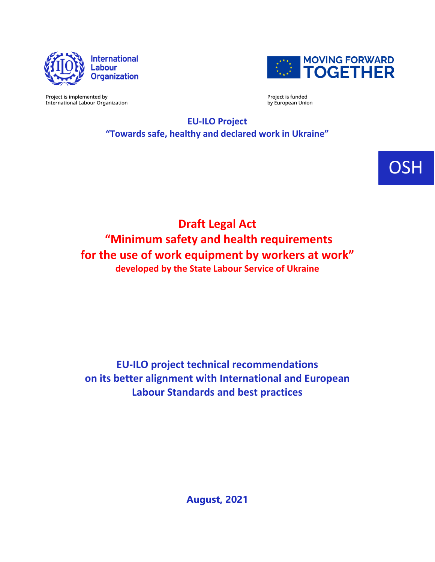



Project is implemented by **International Labour Organization**  Project is funded by European Union

**EU-ILO Project "Towards safe, healthy and declared work in Ukraine"**

OSH

**Draft Legal Act "Minimum safety and health requirements for the use of work equipment by workers at work" developed by the State Labour Service of Ukraine**

**EU-ILO project technical recommendations on its better alignment with International and European Labour Standards and best practices**

**August, 2021**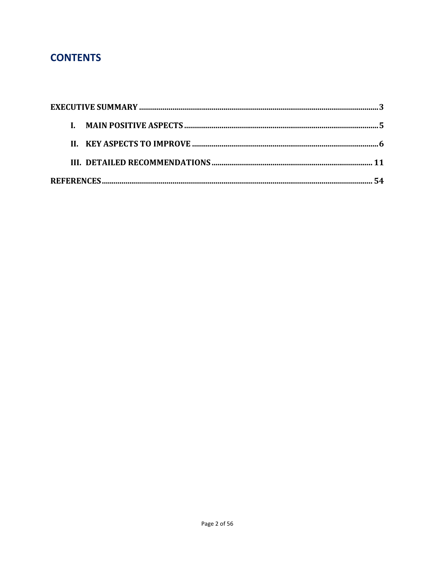# **CONTENTS**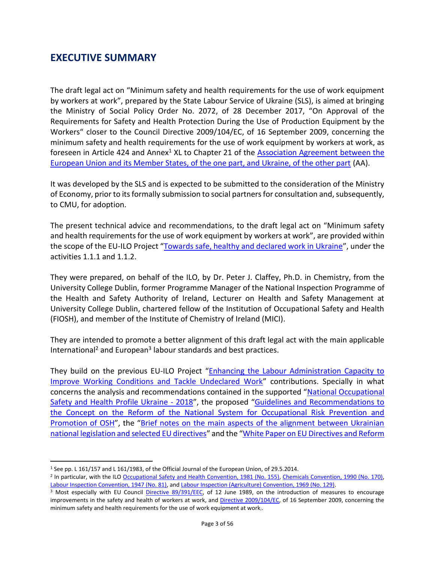#### <span id="page-2-0"></span>**EXECUTIVE SUMMARY**

The draft legal act on "Minimum safety and health requirements for the use of work equipment by workers at work", prepared by the State Labour Service of Ukraine (SLS), is aimed at bringing the Ministry of Social Policy Order No. 2072, of 28 December 2017, "On Approval of the Requirements for Safety and Health Protection During the Use of Production Equipment by the Workers" closer to the Council Directive 2009/104/EC, of 16 September 2009, concerning the minimum safety and health requirements for the use of work equipment by workers at work, as foreseen in Article 424 and Annex<sup>1</sup> XL to Chapter 21 of the Association Agreement between the [European Union and its Member States, of the one part, and Ukraine, of the other part](https://eur-lex.europa.eu/legal-content/EN/TXT/PDF/?uri=CELEX:22014A0529(01)&from=EN) (AA).

It was developed by the SLS and is expected to be submitted to the consideration of the Ministry of Economy, prior to its formally submission to social partners for consultation and, subsequently, to CMU, for adoption.

The present technical advice and recommendations, to the draft legal act on "Minimum safety and health requirements for the use of work equipment by workers at work", are provided within the scope of the EU-ILO Project "[Towards safe, healthy and declared work in Ukraine](https://www.ilo.org/budapest/what-we-do/projects/declared-work-ukraine/lang--en/index.htm)", under the activities 1.1.1 and 1.1.2.

They were prepared, on behalf of the ILO, by Dr. Peter J. Claffey, Ph.D. in Chemistry, from the University College Dublin, former Programme Manager of the National Inspection Programme of the Health and Safety Authority of Ireland, Lecturer on Health and Safety Management at University College Dublin, chartered fellow of the Institution of Occupational Safety and Health (FIOSH), and member of the Institute of Chemistry of Ireland (MICI).

They are intended to promote a better alignment of this draft legal act with the main applicable International<sup>2</sup> and European<sup>3</sup> labour standards and best practices.

They build on the previous EU-ILO Project "[Enhancing the Labour Administration Capacity to](https://www.ilo.org/budapest/what-we-do/projects/enhancing-labadmin-ukraine/lang--en/index.htm)  [Improve Working Conditions and Tackle Undeclared Work](https://www.ilo.org/budapest/what-we-do/projects/enhancing-labadmin-ukraine/lang--en/index.htm)" contributions. Specially in what concerns the analysis and recommendations contained in the supported "[National Occupational](https://www.ilo.org/budapest/what-we-do/projects/enhancing-labadmin-ukraine/events/WCMS_627038/lang--en/index.htm)  [Safety and Health Profile Ukraine -](https://www.ilo.org/budapest/what-we-do/projects/enhancing-labadmin-ukraine/events/WCMS_627038/lang--en/index.htm) 2018", the proposed "[Guidelines and Recommendations to](https://www.ilo.org/budapest/WCMS_618934/lang--en/index.htm)  [the Concept on the Reform of the National System for Occupational Risk Prevention and](https://www.ilo.org/budapest/WCMS_618934/lang--en/index.htm)  [Promotion of OSH](https://www.ilo.org/budapest/WCMS_618934/lang--en/index.htm)", the "[Brief notes on the main aspects of the alignment between Ukrainian](https://www.ilo.org/budapest/what-we-do/projects/enhancing-labadmin-ukraine/events/WCMS_633189/lang--en/index.htm)  [national legislation and selected EU directives](https://www.ilo.org/budapest/what-we-do/projects/enhancing-labadmin-ukraine/events/WCMS_633189/lang--en/index.htm)" and the "[White Paper on EU Directives and Reform](https://www.ilo.org/budapest/what-we-do/projects/enhancing-labadmin-ukraine/publications/WCMS_689355/lang--en/index.htm) 

<sup>1</sup> See pp. L 161/157 and L 161/1983, of the Official Journal of the European Union, of 29.5.2014.

<sup>&</sup>lt;sup>2</sup> In particular, with the ILO [Occupational Safety and Health Convention, 1981 \(No. 155\),](https://www.ilo.org/dyn/normlex/en/f?p=NORMLEXPUB:12100:0::NO::P12100_ILO_CODE:C155) [Chemicals Convention, 1990 \(No. 170\),](https://www.ilo.org/dyn/normlex/en/f?p=NORMLEXPUB:12100:0::NO::P12100_ILO_CODE:C170) [Labour Inspection Convention, 1947 \(No. 81\),](https://www.ilo.org/dyn/normlex/en/f?p=NORMLEXPUB:12100:0::NO::P12100_ILO_CODE:C081) an[d Labour Inspection \(Agriculture\) Convention, 1969 \(No. 129\).](https://www.ilo.org/dyn/normlex/en/f?p=NORMLEXPUB:12100:::NO:12100:P12100_ILO_CODE:C129:NO)

<sup>&</sup>lt;sup>3</sup> Most especially with EU Council [Directive 89/391/EEC,](https://eur-lex.europa.eu/legal-content/EN/TXT/PDF/?uri=CELEX:01989L0391-20081211&from=EN) of 12 June 1989, on the introduction of measures to encourage improvements in the safety and health of workers at work, and [Directive 2009/104/EC,](https://eur-lex.europa.eu/legal-content/EN/TXT/?uri=celex%3A32009L0104) of 16 September 2009, concerning the minimum safety and health requirements for the use of work equipment at work;.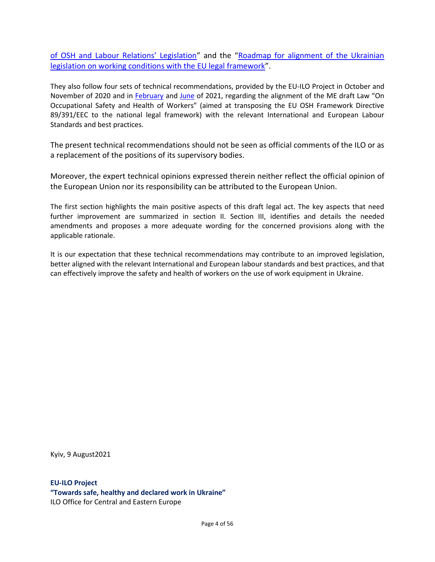[of OSH and Labour Relations' Legislation"](https://www.ilo.org/budapest/what-we-do/projects/enhancing-labadmin-ukraine/publications/WCMS_689355/lang--en/index.htm) and the "Roadmap for alignment of the Ukrainian [legislation on working conditions with the EU legal framework](https://www.ilo.org/budapest/what-we-do/projects/enhancing-labadmin-ukraine/publications/WCMS_689391/lang--en/index.htm)".

They also follow four sets of technical recommendations, provided by the EU-ILO Project in October and November of 2020 and in [February](https://www.ilo.org/budapest/what-we-do/projects/declared-work-ukraine/WCMS_774341/lang--en/index.htm) and [June](https://www.ilo.org/budapest/what-we-do/projects/declared-work-ukraine/WCMS_798725/lang--en/index.htm) of 2021, regarding the alignment of the ME draft Law "On Occupational Safety and Health of Workers" (aimed at transposing the EU OSH Framework Directive 89/391/EEC to the national legal framework) with the relevant International and European Labour Standards and best practices.

The present technical recommendations should not be seen as official comments of the ILO or as a replacement of the positions of its supervisory bodies.

Moreover, the expert technical opinions expressed therein neither reflect the official opinion of the European Union nor its responsibility can be attributed to the European Union.

The first section highlights the main positive aspects of this draft legal act. The key aspects that need further improvement are summarized in section II. Section III, identifies and details the needed amendments and proposes a more adequate wording for the concerned provisions along with the applicable rationale.

It is our expectation that these technical recommendations may contribute to an improved legislation, better aligned with the relevant International and European labour standards and best practices, and that can effectively improve the safety and health of workers on the use of work equipment in Ukraine.

Kyiv, 9 August2021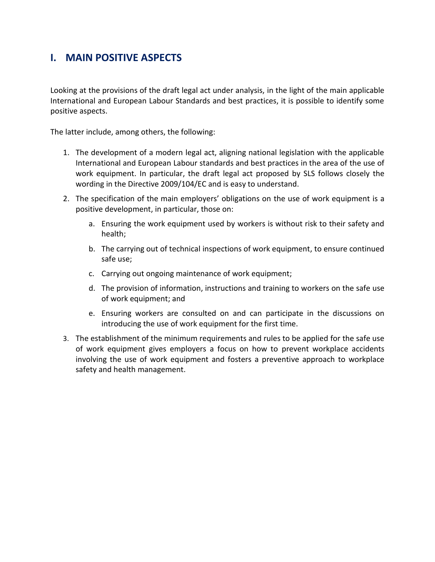## <span id="page-4-0"></span>**I. MAIN POSITIVE ASPECTS**

Looking at the provisions of the draft legal act under analysis, in the light of the main applicable International and European Labour Standards and best practices, it is possible to identify some positive aspects.

The latter include, among others, the following:

- 1. The development of a modern legal act, aligning national legislation with the applicable International and European Labour standards and best practices in the area of the use of work equipment. In particular, the draft legal act proposed by SLS follows closely the wording in the Directive 2009/104/EC and is easy to understand.
- 2. The specification of the main employers' obligations on the use of work equipment is a positive development, in particular, those on:
	- a. Ensuring the work equipment used by workers is without risk to their safety and health;
	- b. The carrying out of technical inspections of work equipment, to ensure continued safe use;
	- c. Carrying out ongoing maintenance of work equipment;
	- d. The provision of information, instructions and training to workers on the safe use of work equipment; and
	- e. Ensuring workers are consulted on and can participate in the discussions on introducing the use of work equipment for the first time.
- 3. The establishment of the minimum requirements and rules to be applied for the safe use of work equipment gives employers a focus on how to prevent workplace accidents involving the use of work equipment and fosters a preventive approach to workplace safety and health management.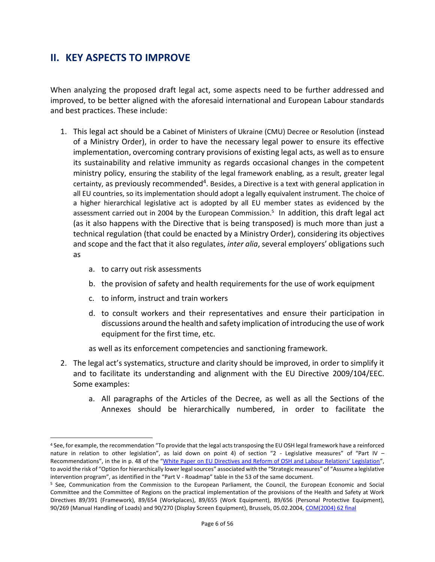### <span id="page-5-0"></span>**II. KEY ASPECTS TO IMPROVE**

When analyzing the proposed draft legal act, some aspects need to be further addressed and improved, to be better aligned with the aforesaid international and European Labour standards and best practices. These include:

- 1. This legal act should be a Cabinet of Ministers of Ukraine (CMU) Decree or Resolution (instead of a Ministry Order), in order to have the necessary legal power to ensure its effective implementation, overcoming contrary provisions of existing legal acts, as well as to ensure its sustainability and relative immunity as regards occasional changes in the competent ministry policy, ensuring the stability of the legal framework enabling, as a result, greater legal certainty, as previously recommended<sup>4</sup>. Besides, a Directive is a text with general application in all EU countries, so its implementation should adopt a legally equivalent instrument. The choice of a higher hierarchical legislative act is adopted by all EU member states as evidenced by the assessment carried out in 2004 by the European Commission.<sup>5</sup> In addition, this draft legal act (as it also happens with the Directive that is being transposed) is much more than just a technical regulation (that could be enacted by a Ministry Order), considering its objectives and scope and the fact that it also regulates, *inter alia*, several employers' obligations such as
	- a. to carry out risk assessments
	- b. the provision of safety and health requirements for the use of work equipment
	- c. to inform, instruct and train workers
	- d. to consult workers and their representatives and ensure their participation in discussions around the health and safety implication of introducing the use of work equipment for the first time, etc.
	- as well as its enforcement competencies and sanctioning framework.
- 2. The legal act's systematics, structure and clarity should be improved, in order to simplify it and to facilitate its understanding and alignment with the EU Directive 2009/104/EEC. Some examples:
	- a. All paragraphs of the Articles of the Decree, as well as all the Sections of the Annexes should be hierarchically numbered, in order to facilitate the

<sup>4</sup> See, for example, the recommendation "To provide that the legal acts transposing the EU OSH legal framework have a reinforced nature in relation to other legislation", as laid down on point 4) of section "2 - Legislative measures" of "Part IV – Recommendations", in the in p. 48 of the ["White Paper on EU Directives and Reform of OSH and Labour Relations' Legislation"](https://www.ilo.org/budapest/what-we-do/projects/enhancing-labadmin-ukraine/publications/WCMS_689355/lang--en/index.htm), to avoid the risk of "Option for hierarchically lower legal sources" associated with the "Strategic measures" of "Assume a legislative intervention program", as identified in the "Part V - Roadmap" table in the 53 of the same document.

<sup>5</sup> See, Communication from the Commission to the European Parliament, the Council, the European Economic and Social Committee and the Committee of Regions on the practical implementation of the provisions of the Health and Safety at Work Directives 89/391 (Framework), 89/654 (Workplaces), 89/655 (Work Equipment), 89/656 (Personal Protective Equipment), 90/269 (Manual Handling of Loads) and 90/270 (Display Screen Equipment), Brussels, 05.02.2004[, COM\(2004\) 62 final](https://eur-lex.europa.eu/legal-content/EN/TXT/PDF/?uri=CELEX:52004DC0062&from=FR)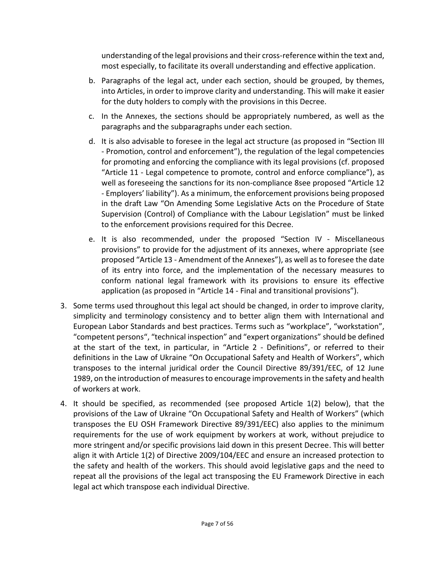understanding of the legal provisions and their cross-reference within the text and, most especially, to facilitate its overall understanding and effective application.

- b. Paragraphs of the legal act, under each section, should be grouped, by themes, into Articles, in order to improve clarity and understanding. This will make it easier for the duty holders to comply with the provisions in this Decree.
- c. In the Annexes, the sections should be appropriately numbered, as well as the paragraphs and the subparagraphs under each section.
- d. It is also advisable to foresee in the legal act structure (as proposed in "Section III - Promotion, control and enforcement"), the regulation of the legal competencies for promoting and enforcing the compliance with its legal provisions (cf. proposed "Article 11 - Legal competence to promote, control and enforce compliance"), as well as foreseeing the sanctions for its non-compliance 8see proposed "Article 12 - Employers' liability"). As a minimum, the enforcement provisions being proposed in the draft Law "On Amending Some Legislative Acts on the Procedure of State Supervision (Control) of Compliance with the Labour Legislation" must be linked to the enforcement provisions required for this Decree.
- e. It is also recommended, under the proposed "Section IV Miscellaneous provisions" to provide for the adjustment of its annexes, where appropriate (see proposed "Article 13 - Amendment of the Annexes"), as well as to foresee the date of its entry into force, and the implementation of the necessary measures to conform national legal framework with its provisions to ensure its effective application (as proposed in "Article 14 - Final and transitional provisions").
- 3. Some terms used throughout this legal act should be changed, in order to improve clarity, simplicity and terminology consistency and to better align them with International and European Labor Standards and best practices. Terms such as "workplace", "workstation", "competent persons", "technical inspection" and "expert organizations" should be defined at the start of the text, in particular, in "Article 2 - Definitions", or referred to their definitions in the Law of Ukraine "On Occupational Safety and Health of Workers", which transposes to the internal juridical order the Council Directive 89/391/EEC, of 12 June 1989, on the introduction of measures to encourage improvements in the safety and health of workers at work.
- 4. It should be specified, as recommended (see proposed Article 1(2) below), that the provisions of the Law of Ukraine "On Occupational Safety and Health of Workers" (which transposes the EU OSH Framework Directive 89/391/EEC) also applies to the minimum requirements for the use of work equipment by workers at work, without prejudice to more stringent and/or specific provisions laid down in this present Decree. This will better align it with Article 1(2) of Directive 2009/104/EEC and ensure an increased protection to the safety and health of the workers. This should avoid legislative gaps and the need to repeat all the provisions of the legal act transposing the EU Framework Directive in each legal act which transpose each individual Directive.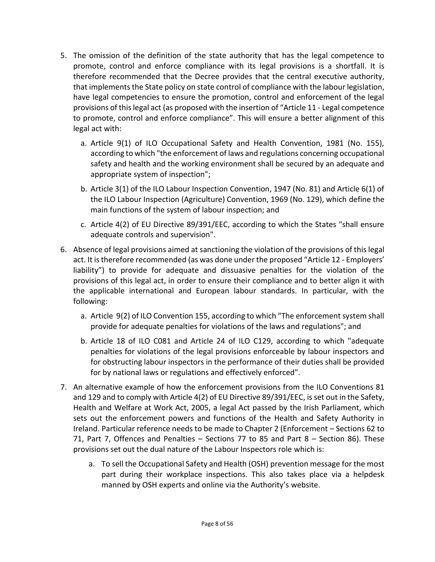- 5. The omission of the definition of the state authority that has the legal competence to promote, control and enforce compliance with its legal provisions is a shortfall. It is therefore recommended that the Decree provides that the central executive authority, that implements the State policy on state control of compliance with the labour legislation, have legal competencies to ensure the promotion, control and enforcement of the legal provisions of this legal act (as proposed with the insertion of "Article 11 - Legal competence to promote, control and enforce compliance". This will ensure a better alignment of this legal act with:
	- a. Article 9(1) of ILO Occupational Safety and Health Convention, 1981 (No. 155), according to which "the enforcement of laws and regulations concerning occupational safety and health and the working environment shall be secured by an adequate and appropriate system of inspection";
	- b. Article 3(1) of the ILO Labour Inspection Convention, 1947 (No. 81) and Article 6(1) of the ILO Labour Inspection (Agriculture) Convention, 1969 (No. 129), which define the main functions of the system of labour inspection; and
	- c. Article 4(2) of EU Directive 89/391/EEC, according to which the States "shall ensure adequate controls and supervision".
- 6. Absence of legal provisions aimed at sanctioning the violation of the provisions of this legal act. It is therefore recommended (as was done under the proposed "Article 12 - Employers' liability") to provide for adequate and dissuasive penalties for the violation of the provisions of this legal act, in order to ensure their compliance and to better align it with the applicable international and European labour standards. In particular, with the following:
	- a. Article 9(2) of ILO Convention 155, according to which "The enforcement system shall provide for adequate penalties for violations of the laws and regulations"; and
	- b. Article 18 of ILO C081 and Article 24 of ILO C129, according to which "adequate penalties for violations of the legal provisions enforceable by labour inspectors and for obstructing labour inspectors in the performance of their duties shall be provided for by national laws or regulations and effectively enforced".
- 7. An alternative example of how the enforcement provisions from the ILO Conventions 81 and 129 and to comply with Article 4(2) of EU Directive 89/391/EEC, is set out in the Safety, Health and Welfare at Work Act, 2005, a legal Act passed by the Irish Parliament, which sets out the enforcement powers and functions of the Health and Safety Authority in Ireland. Particular reference needs to be made to Chapter 2 (Enforcement – Sections 62 to 71, Part 7, Offences and Penalties – Sections 77 to 85 and Part 8 – Section 86). These provisions set out the dual nature of the Labour Inspectors role which is:
	- a. To sell the Occupational Safety and Health (OSH) prevention message for the most part during their workplace inspections. This also takes place via a helpdesk manned by OSH experts and online via the Authority's website.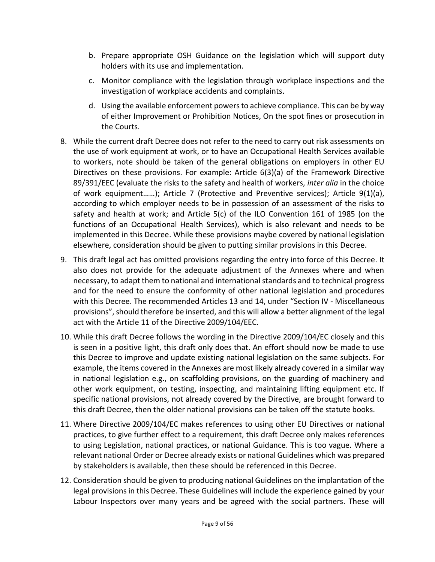- b. Prepare appropriate OSH Guidance on the legislation which will support duty holders with its use and implementation.
- c. Monitor compliance with the legislation through workplace inspections and the investigation of workplace accidents and complaints.
- d. Using the available enforcement powers to achieve compliance. This can be by way of either Improvement or Prohibition Notices, On the spot fines or prosecution in the Courts.
- 8. While the current draft Decree does not refer to the need to carry out risk assessments on the use of work equipment at work, or to have an Occupational Health Services available to workers, note should be taken of the general obligations on employers in other EU Directives on these provisions. For example: Article 6(3)(a) of the Framework Directive 89/391/EEC (evaluate the risks to the safety and health of workers, *inter alia* in the choice of work equipment……); Article 7 (Protective and Preventive services); Article 9(1)(a), according to which employer needs to be in possession of an assessment of the risks to safety and health at work; and Article 5(c) of the ILO Convention 161 of 1985 (on the functions of an Occupational Health Services), which is also relevant and needs to be implemented in this Decree. While these provisions maybe covered by national legislation elsewhere, consideration should be given to putting similar provisions in this Decree.
- 9. This draft legal act has omitted provisions regarding the entry into force of this Decree. It also does not provide for the adequate adjustment of the Annexes where and when necessary, to adapt them to national and international standards and to technical progress and for the need to ensure the conformity of other national legislation and procedures with this Decree. The recommended Articles 13 and 14, under "Section IV - Miscellaneous provisions", should therefore be inserted, and this will allow a better alignment of the legal act with the Article 11 of the Directive 2009/104/EEC.
- 10. While this draft Decree follows the wording in the Directive 2009/104/EC closely and this is seen in a positive light, this draft only does that. An effort should now be made to use this Decree to improve and update existing national legislation on the same subjects. For example, the items covered in the Annexes are most likely already covered in a similar way in national legislation e.g., on scaffolding provisions, on the guarding of machinery and other work equipment, on testing, inspecting, and maintaining lifting equipment etc. If specific national provisions, not already covered by the Directive, are brought forward to this draft Decree, then the older national provisions can be taken off the statute books.
- 11. Where Directive 2009/104/EC makes references to using other EU Directives or national practices, to give further effect to a requirement, this draft Decree only makes references to using Legislation, national practices, or national Guidance. This is too vague. Where a relevant national Order or Decree already exists or national Guidelines which was prepared by stakeholders is available, then these should be referenced in this Decree.
- 12. Consideration should be given to producing national Guidelines on the implantation of the legal provisions in this Decree. These Guidelines will include the experience gained by your Labour Inspectors over many years and be agreed with the social partners. These will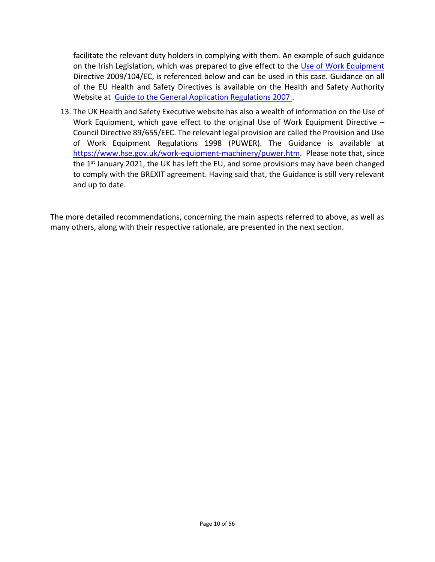facilitate the relevant duty holders in complying with them. An example of such guidance on the Irish Legislation, which was prepared to give effect to the [Use of Work Equipment](https://www.hsa.ie/eng/Publications_and_Forms/Publications/General_Application_Regulations/Use_of_Work_Equipment_.html) Directive 2009/104/EC, is referenced below and can be used in this case. Guidance on all of the EU Health and Safety Directives is available on the Health and Safety Authority Website at [Guide to the General Application Regulations 2007 .](https://www.hsa.ie/eng/Publications_and_Forms/Publications/General_Application_Regulations/Guide_to_the_Safety,_Health_and_Welfare_at_Work_General_Application_Regulations_2007.html)

13. The UK Health and Safety Executive website has also a wealth of information on the Use of Work Equipment, which gave effect to the original Use of Work Equipment Directive – Council Directive 89/655/EEC. The relevant legal provision are called the Provision and Use of Work Equipment Regulations 1998 (PUWER). The Guidance is available at [https://www.hse.gov.uk/work-equipment-machinery/puwer.htm.](https://www.hse.gov.uk/work-equipment-machinery/puwer.htm) Please note that, since the 1<sup>st</sup> January 2021, the UK has left the EU, and some provisions may have been changed to comply with the BREXIT agreement. Having said that, the Guidance is still very relevant and up to date.

The more detailed recommendations, concerning the main aspects referred to above, as well as many others, along with their respective rationale, are presented in the next section.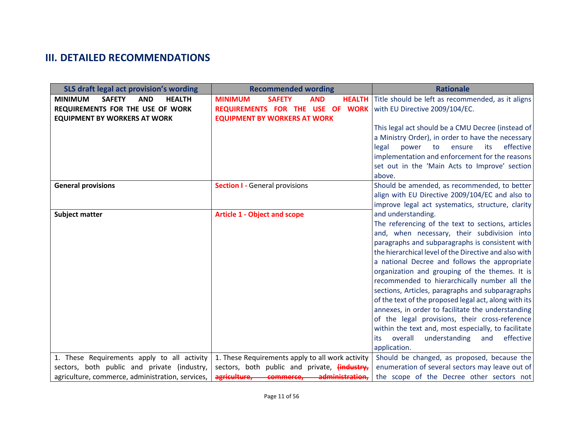# **III. DETAILED RECOMMENDATIONS**

<span id="page-10-0"></span>

| SLS draft legal act provision's wording                        | <b>Recommended wording</b>                           | <b>Rationale</b>                                                        |
|----------------------------------------------------------------|------------------------------------------------------|-------------------------------------------------------------------------|
| <b>MINIMUM</b><br><b>SAFETY</b><br><b>AND</b><br><b>HEALTH</b> | <b>MINIMUM</b><br><b>SAFETY</b><br><b>AND</b>        | <b>HEALTH</b> Title should be left as recommended, as it aligns         |
| REQUIREMENTS FOR THE USE OF WORK                               | REQUIREMENTS FOR THE USE OF WORK                     | with EU Directive 2009/104/EC.                                          |
| <b>EQUIPMENT BY WORKERS AT WORK</b>                            | <b>EQUIPMENT BY WORKERS AT WORK</b>                  |                                                                         |
|                                                                |                                                      | This legal act should be a CMU Decree (instead of                       |
|                                                                |                                                      | a Ministry Order), in order to have the necessary                       |
|                                                                |                                                      | effective<br>legal<br>power<br>to<br>its<br>ensure                      |
|                                                                |                                                      | implementation and enforcement for the reasons                          |
|                                                                |                                                      | set out in the 'Main Acts to Improve' section                           |
|                                                                |                                                      | above.                                                                  |
| <b>General provisions</b>                                      | <b>Section I - General provisions</b>                | Should be amended, as recommended, to better                            |
|                                                                |                                                      | align with EU Directive 2009/104/EC and also to                         |
|                                                                |                                                      | improve legal act systematics, structure, clarity<br>and understanding. |
| <b>Subject matter</b>                                          | <b>Article 1 - Object and scope</b>                  | The referencing of the text to sections, articles                       |
|                                                                |                                                      | and, when necessary, their subdivision into                             |
|                                                                |                                                      | paragraphs and subparagraphs is consistent with                         |
|                                                                |                                                      | the hierarchical level of the Directive and also with                   |
|                                                                |                                                      | a national Decree and follows the appropriate                           |
|                                                                |                                                      | organization and grouping of the themes. It is                          |
|                                                                |                                                      | recommended to hierarchically number all the                            |
|                                                                |                                                      | sections, Articles, paragraphs and subparagraphs                        |
|                                                                |                                                      | of the text of the proposed legal act, along with its                   |
|                                                                |                                                      | annexes, in order to facilitate the understanding                       |
|                                                                |                                                      | of the legal provisions, their cross-reference                          |
|                                                                |                                                      | within the text and, most especially, to facilitate                     |
|                                                                |                                                      | effective<br>understanding<br>overall<br>and<br>its                     |
|                                                                |                                                      | application.                                                            |
| 1. These Requirements apply to all activity                    | 1. These Requirements apply to all work activity     | Should be changed, as proposed, because the                             |
| sectors, both public and private (industry,                    | sectors, both public and private, <i>lindustry</i> , | enumeration of several sectors may leave out of                         |
| agriculture, commerce, administration, services,               | agriculture, commerce,<br>administration.            | the scope of the Decree other sectors not                               |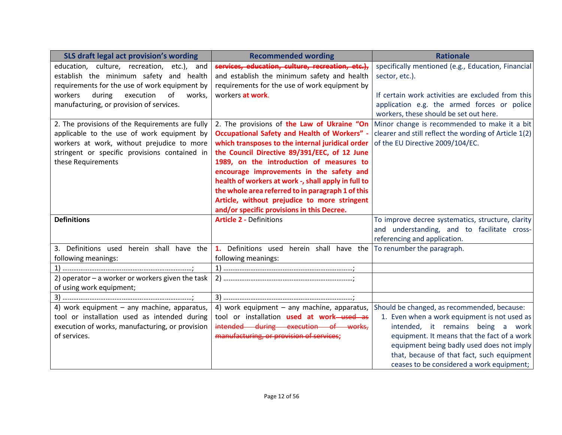| SLS draft legal act provision's wording            | <b>Recommended wording</b>                          | <b>Rationale</b>                                      |
|----------------------------------------------------|-----------------------------------------------------|-------------------------------------------------------|
| education, culture, recreation, etc.), and         | services, education, culture, recreation, etc.),    | specifically mentioned (e.g., Education, Financial    |
| establish the minimum safety and health            | and establish the minimum safety and health         | sector, etc.).                                        |
| requirements for the use of work equipment by      | requirements for the use of work equipment by       |                                                       |
| workers<br>during<br>execution<br>of<br>works,     | workers at work.                                    | If certain work activities are excluded from this     |
| manufacturing, or provision of services.           |                                                     | application e.g. the armed forces or police           |
|                                                    |                                                     | workers, these should be set out here.                |
| 2. The provisions of the Requirements are fully    | 2. The provisions of the Law of Ukraine "On         | Minor change is recommended to make it a bit          |
| applicable to the use of work equipment by         | <b>Occupational Safety and Health of Workers" -</b> | clearer and still reflect the wording of Article 1(2) |
| workers at work, without prejudice to more         | which transposes to the internal juridical order    | of the EU Directive 2009/104/EC.                      |
| stringent or specific provisions contained in      | the Council Directive 89/391/EEC, of 12 June        |                                                       |
| these Requirements                                 | 1989, on the introduction of measures to            |                                                       |
|                                                    | encourage improvements in the safety and            |                                                       |
|                                                    | health of workers at work -, shall apply in full to |                                                       |
|                                                    | the whole area referred to in paragraph 1 of this   |                                                       |
|                                                    | Article, without prejudice to more stringent        |                                                       |
|                                                    | and/or specific provisions in this Decree.          |                                                       |
| <b>Definitions</b>                                 | <b>Article 2 - Definitions</b>                      | To improve decree systematics, structure, clarity     |
|                                                    |                                                     | and understanding, and to facilitate cross-           |
|                                                    |                                                     | referencing and application.                          |
| 3. Definitions used herein shall have the          | 1. Definitions used herein shall have the           | To renumber the paragraph.                            |
| following meanings:                                | following meanings:                                 |                                                       |
|                                                    |                                                     |                                                       |
| 2) operator $-$ a worker or workers given the task |                                                     |                                                       |
| of using work equipment;                           |                                                     |                                                       |
|                                                    |                                                     |                                                       |
| 4) work equipment - any machine, apparatus,        | 4) work equipment - any machine, apparatus,         | Should be changed, as recommended, because:           |
| tool or installation used as intended during       | tool or installation used at work-used as           | 1. Even when a work equipment is not used as          |
| execution of works, manufacturing, or provision    | intended during execution of works,                 | intended, it remains being a work                     |
| of services.                                       | manufacturing, or provision of services;            | equipment. It means that the fact of a work           |
|                                                    |                                                     | equipment being badly used does not imply             |
|                                                    |                                                     | that, because of that fact, such equipment            |
|                                                    |                                                     | ceases to be considered a work equipment;             |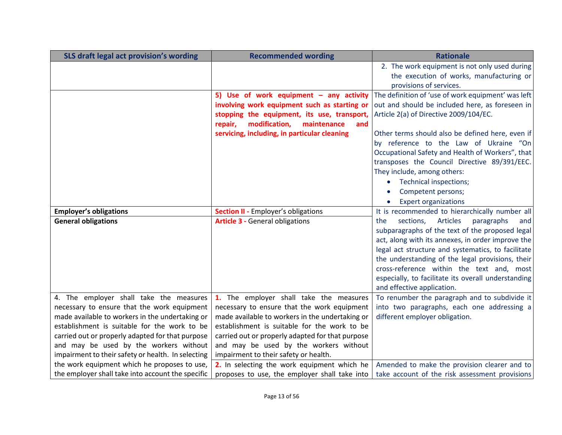| SLS draft legal act provision's wording            | <b>Recommended wording</b>                       | <b>Rationale</b>                                         |
|----------------------------------------------------|--------------------------------------------------|----------------------------------------------------------|
|                                                    |                                                  | 2. The work equipment is not only used during            |
|                                                    |                                                  | the execution of works, manufacturing or                 |
|                                                    |                                                  | provisions of services.                                  |
|                                                    | 5) Use of work equipment - any activity          | The definition of 'use of work equipment' was left       |
|                                                    | involving work equipment such as starting or     | out and should be included here, as foreseen in          |
|                                                    | stopping the equipment, its use, transport,      | Article 2(a) of Directive 2009/104/EC.                   |
|                                                    | modification,<br>repair,<br>maintenance<br>and   |                                                          |
|                                                    | servicing, including, in particular cleaning     | Other terms should also be defined here, even if         |
|                                                    |                                                  | by reference to the Law of Ukraine "On                   |
|                                                    |                                                  | Occupational Safety and Health of Workers", that         |
|                                                    |                                                  | transposes the Council Directive 89/391/EEC.             |
|                                                    |                                                  | They include, among others:                              |
|                                                    |                                                  | Technical inspections;                                   |
|                                                    |                                                  | Competent persons;                                       |
|                                                    |                                                  | <b>Expert organizations</b><br>$\bullet$                 |
| <b>Employer's obligations</b>                      | <b>Section II - Employer's obligations</b>       | It is recommended to hierarchically number all           |
| <b>General obligations</b>                         | <b>Article 3 - General obligations</b>           | <b>Articles</b><br>the<br>sections,<br>paragraphs<br>and |
|                                                    |                                                  | subparagraphs of the text of the proposed legal          |
|                                                    |                                                  | act, along with its annexes, in order improve the        |
|                                                    |                                                  | legal act structure and systematics, to facilitate       |
|                                                    |                                                  | the understanding of the legal provisions, their         |
|                                                    |                                                  | cross-reference within the text and, most                |
|                                                    |                                                  | especially, to facilitate its overall understanding      |
|                                                    |                                                  | and effective application.                               |
| 4. The employer shall take the measures            | 1. The employer shall take the measures          | To renumber the paragraph and to subdivide it            |
| necessary to ensure that the work equipment        | necessary to ensure that the work equipment      | into two paragraphs, each one addressing a               |
| made available to workers in the undertaking or    | made available to workers in the undertaking or  | different employer obligation.                           |
| establishment is suitable for the work to be       | establishment is suitable for the work to be     |                                                          |
| carried out or properly adapted for that purpose   | carried out or properly adapted for that purpose |                                                          |
| and may be used by the workers without             | and may be used by the workers without           |                                                          |
| impairment to their safety or health. In selecting | impairment to their safety or health.            |                                                          |
| the work equipment which he proposes to use,       | 2. In selecting the work equipment which he      | Amended to make the provision clearer and to             |
| the employer shall take into account the specific  | proposes to use, the employer shall take into    | take account of the risk assessment provisions           |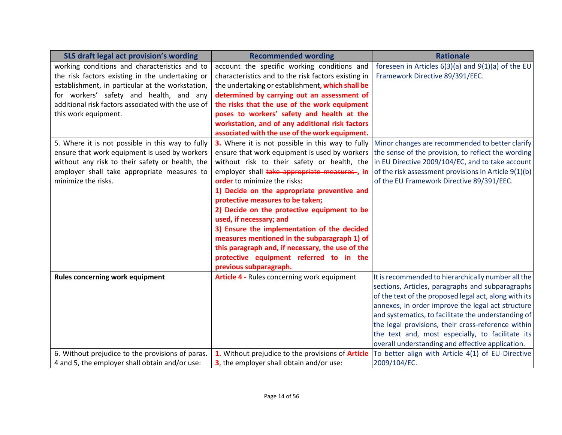| SLS draft legal act provision's wording            | <b>Recommended wording</b>                          | <b>Rationale</b>                                       |
|----------------------------------------------------|-----------------------------------------------------|--------------------------------------------------------|
| working conditions and characteristics and to      | account the specific working conditions and         | foreseen in Articles $6(3)(a)$ and $9(1)(a)$ of the EU |
| the risk factors existing in the undertaking or    | characteristics and to the risk factors existing in | Framework Directive 89/391/EEC.                        |
| establishment, in particular at the workstation,   | the undertaking or establishment, which shall be    |                                                        |
| for workers' safety and health, and any            | determined by carrying out an assessment of         |                                                        |
| additional risk factors associated with the use of | the risks that the use of the work equipment        |                                                        |
| this work equipment.                               | poses to workers' safety and health at the          |                                                        |
|                                                    | workstation, and of any additional risk factors     |                                                        |
|                                                    | associated with the use of the work equipment.      |                                                        |
| 5. Where it is not possible in this way to fully   | 3. Where it is not possible in this way to fully    | Minor changes are recommended to better clarify        |
| ensure that work equipment is used by workers      | ensure that work equipment is used by workers       | the sense of the provision, to reflect the wording     |
| without any risk to their safety or health, the    | without risk to their safety or health, the         | in EU Directive 2009/104/EC, and to take account       |
| employer shall take appropriate measures to        | employer shall take appropriate measures-, in       | of the risk assessment provisions in Article 9(1)(b)   |
| minimize the risks.                                | order to minimize the risks:                        | of the EU Framework Directive 89/391/EEC.              |
|                                                    | 1) Decide on the appropriate preventive and         |                                                        |
|                                                    | protective measures to be taken;                    |                                                        |
|                                                    | 2) Decide on the protective equipment to be         |                                                        |
|                                                    | used, if necessary; and                             |                                                        |
|                                                    | 3) Ensure the implementation of the decided         |                                                        |
|                                                    | measures mentioned in the subparagraph 1) of        |                                                        |
|                                                    | this paragraph and, if necessary, the use of the    |                                                        |
|                                                    | protective equipment referred to in the             |                                                        |
|                                                    | previous subparagraph.                              |                                                        |
| <b>Rules concerning work equipment</b>             | Article 4 - Rules concerning work equipment         | It is recommended to hierarchically number all the     |
|                                                    |                                                     | sections, Articles, paragraphs and subparagraphs       |
|                                                    |                                                     | of the text of the proposed legal act, along with its  |
|                                                    |                                                     | annexes, in order improve the legal act structure      |
|                                                    |                                                     | and systematics, to facilitate the understanding of    |
|                                                    |                                                     | the legal provisions, their cross-reference within     |
|                                                    |                                                     | the text and, most especially, to facilitate its       |
|                                                    |                                                     | overall understanding and effective application.       |
| 6. Without prejudice to the provisions of paras.   | 1. Without prejudice to the provisions of Article   | To better align with Article 4(1) of EU Directive      |
| 4 and 5, the employer shall obtain and/or use:     | 3, the employer shall obtain and/or use:            | 2009/104/EC.                                           |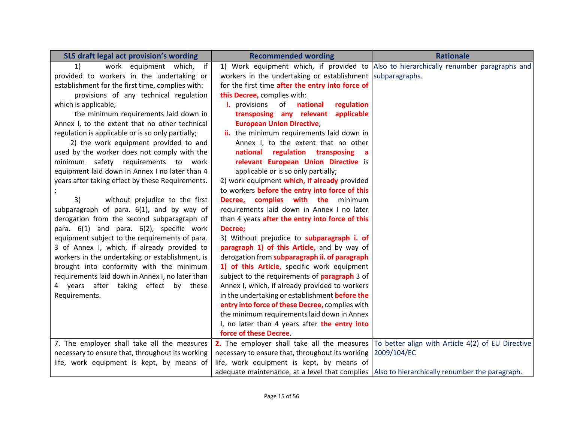| SLS draft legal act provision's wording           | <b>Recommended wording</b>                                                                      | <b>Rationale</b>                                                                                                  |
|---------------------------------------------------|-------------------------------------------------------------------------------------------------|-------------------------------------------------------------------------------------------------------------------|
| work equipment which, if<br>1)                    |                                                                                                 | 1) Work equipment which, if provided to Also to hierarchically renumber paragraphs and                            |
| provided to workers in the undertaking or         | workers in the undertaking or establishment subparagraphs.                                      |                                                                                                                   |
| establishment for the first time, complies with:  | for the first time after the entry into force of                                                |                                                                                                                   |
| provisions of any technical regulation            | this Decree, complies with:                                                                     |                                                                                                                   |
| which is applicable;                              | <i>i.</i> provisions<br>of<br>national<br>regulation                                            |                                                                                                                   |
| the minimum requirements laid down in             | transposing any relevant applicable                                                             |                                                                                                                   |
| Annex I, to the extent that no other technical    | <b>European Union Directive;</b>                                                                |                                                                                                                   |
| regulation is applicable or is so only partially; | ii. the minimum requirements laid down in                                                       |                                                                                                                   |
| 2) the work equipment provided to and             | Annex I, to the extent that no other                                                            |                                                                                                                   |
| used by the worker does not comply with the       | national regulation transposing                                                                 |                                                                                                                   |
| minimum safety requirements to work               | relevant European Union Directive is                                                            |                                                                                                                   |
| equipment laid down in Annex I no later than 4    | applicable or is so only partially;                                                             |                                                                                                                   |
| years after taking effect by these Requirements.  | 2) work equipment which, if already provided                                                    |                                                                                                                   |
|                                                   | to workers before the entry into force of this                                                  |                                                                                                                   |
| without prejudice to the first<br>3)              | Decree, complies with the<br>minimum                                                            |                                                                                                                   |
| subparagraph of para. 6(1), and by way of         | requirements laid down in Annex I no later                                                      |                                                                                                                   |
| derogation from the second subparagraph of        | than 4 years after the entry into force of this                                                 |                                                                                                                   |
| para. 6(1) and para. 6(2), specific work          | Decree;                                                                                         |                                                                                                                   |
| equipment subject to the requirements of para.    | 3) Without prejudice to subparagraph i. of                                                      |                                                                                                                   |
| 3 of Annex I, which, if already provided to       | paragraph 1) of this Article, and by way of                                                     |                                                                                                                   |
| workers in the undertaking or establishment, is   | derogation from subparagraph ii. of paragraph                                                   |                                                                                                                   |
| brought into conformity with the minimum          | 1) of this Article, specific work equipment                                                     |                                                                                                                   |
| requirements laid down in Annex I, no later than  | subject to the requirements of <b>paragraph</b> 3 of                                            |                                                                                                                   |
| 4 years after taking effect by these              | Annex I, which, if already provided to workers                                                  |                                                                                                                   |
| Requirements.                                     | in the undertaking or establishment before the                                                  |                                                                                                                   |
|                                                   | entry into force of these Decree, complies with                                                 |                                                                                                                   |
|                                                   | the minimum requirements laid down in Annex                                                     |                                                                                                                   |
|                                                   | I, no later than 4 years after the entry into                                                   |                                                                                                                   |
|                                                   | force of these Decree.                                                                          |                                                                                                                   |
| 7. The employer shall take all the measures       |                                                                                                 | <b>2.</b> The employer shall take all the measures $\overline{10}$ better align with Article 4(2) of EU Directive |
| necessary to ensure that, throughout its working  | necessary to ensure that, throughout its working                                                | 2009/104/EC                                                                                                       |
| life, work equipment is kept, by means of         | life, work equipment is kept, by means of                                                       |                                                                                                                   |
|                                                   | adequate maintenance, at a level that complies   Also to hierarchically renumber the paragraph. |                                                                                                                   |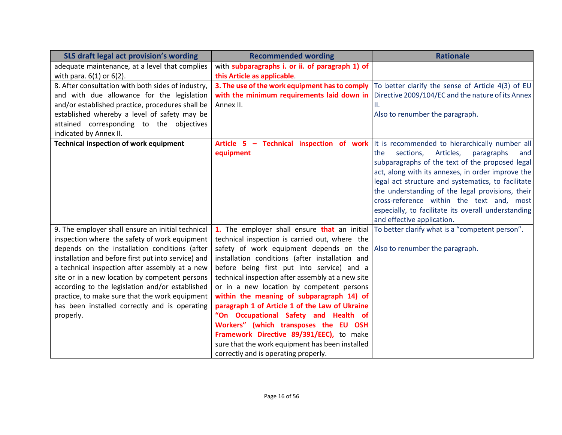| SLS draft legal act provision's wording             | <b>Recommended wording</b>                        | <b>Rationale</b>                                    |
|-----------------------------------------------------|---------------------------------------------------|-----------------------------------------------------|
| adequate maintenance, at a level that complies      | with subparagraphs i. or ii. of paragraph 1) of   |                                                     |
| with para. $6(1)$ or $6(2)$ .                       | this Article as applicable.                       |                                                     |
| 8. After consultation with both sides of industry,  | 3. The use of the work equipment has to comply    | To better clarify the sense of Article 4(3) of EU   |
| and with due allowance for the legislation          | with the minimum requirements laid down in        | Directive 2009/104/EC and the nature of its Annex   |
| and/or established practice, procedures shall be    | Annex II.                                         | Η.                                                  |
| established whereby a level of safety may be        |                                                   | Also to renumber the paragraph.                     |
| attained corresponding to the objectives            |                                                   |                                                     |
| indicated by Annex II.                              |                                                   |                                                     |
| <b>Technical inspection of work equipment</b>       | Article 5 - Technical inspection of work          | It is recommended to hierarchically number all      |
|                                                     | equipment                                         | Articles,<br>the<br>sections,<br>paragraphs<br>and  |
|                                                     |                                                   | subparagraphs of the text of the proposed legal     |
|                                                     |                                                   | act, along with its annexes, in order improve the   |
|                                                     |                                                   | legal act structure and systematics, to facilitate  |
|                                                     |                                                   | the understanding of the legal provisions, their    |
|                                                     |                                                   | cross-reference within the text and, most           |
|                                                     |                                                   | especially, to facilitate its overall understanding |
|                                                     |                                                   | and effective application.                          |
| 9. The employer shall ensure an initial technical   | 1. The employer shall ensure that an initial      | To better clarify what is a "competent person".     |
| inspection where the safety of work equipment       | technical inspection is carried out, where the    |                                                     |
| depends on the installation conditions (after       | safety of work equipment depends on the           | Also to renumber the paragraph.                     |
| installation and before first put into service) and | installation conditions (after installation and   |                                                     |
| a technical inspection after assembly at a new      | before being first put into service) and a        |                                                     |
| site or in a new location by competent persons      | technical inspection after assembly at a new site |                                                     |
| according to the legislation and/or established     | or in a new location by competent persons         |                                                     |
| practice, to make sure that the work equipment      | within the meaning of subparagraph 14) of         |                                                     |
| has been installed correctly and is operating       | paragraph 1 of Article 1 of the Law of Ukraine    |                                                     |
| properly.                                           | "On Occupational Safety and Health of             |                                                     |
|                                                     | Workers" (which transposes the EU OSH             |                                                     |
|                                                     | Framework Directive 89/391/EEC), to make          |                                                     |
|                                                     | sure that the work equipment has been installed   |                                                     |
|                                                     | correctly and is operating properly.              |                                                     |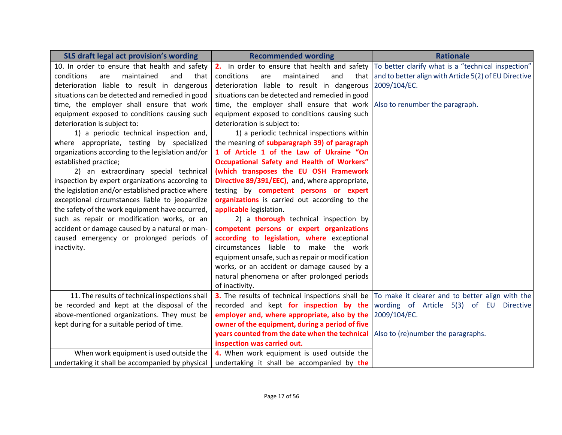| SLS draft legal act provision's wording           | <b>Recommended wording</b>                                                | <b>Rationale</b>                                                                                                     |
|---------------------------------------------------|---------------------------------------------------------------------------|----------------------------------------------------------------------------------------------------------------------|
| 10. In order to ensure that health and safety     |                                                                           | 2. In order to ensure that health and safety $ $ To better clarify what is a "technical inspection"                  |
| conditions<br>are<br>maintained<br>and<br>that    | conditions<br>maintained<br>and<br>are                                    | that and to better align with Article $5(2)$ of EU Directive                                                         |
| deterioration liable to result in dangerous       | deterioration liable to result in dangerous                               | 2009/104/EC.                                                                                                         |
| situations can be detected and remedied in good   | situations can be detected and remedied in good                           |                                                                                                                      |
| time, the employer shall ensure that work         | time, the employer shall ensure that work Also to renumber the paragraph. |                                                                                                                      |
| equipment exposed to conditions causing such      | equipment exposed to conditions causing such                              |                                                                                                                      |
| deterioration is subject to:                      | deterioration is subject to:                                              |                                                                                                                      |
| 1) a periodic technical inspection and,           | 1) a periodic technical inspections within                                |                                                                                                                      |
| where appropriate, testing by specialized         | the meaning of subparagraph 39) of paragraph                              |                                                                                                                      |
| organizations according to the legislation and/or | 1 of Article 1 of the Law of Ukraine "On                                  |                                                                                                                      |
| established practice;                             | Occupational Safety and Health of Workers"                                |                                                                                                                      |
| 2) an extraordinary special technical             | (which transposes the EU OSH Framework                                    |                                                                                                                      |
| inspection by expert organizations according to   | Directive 89/391/EEC), and, where appropriate,                            |                                                                                                                      |
| the legislation and/or established practice where | testing by competent persons or expert                                    |                                                                                                                      |
| exceptional circumstances liable to jeopardize    | organizations is carried out according to the                             |                                                                                                                      |
| the safety of the work equipment have occurred,   | applicable legislation.                                                   |                                                                                                                      |
| such as repair or modification works, or an       | 2) a thorough technical inspection by                                     |                                                                                                                      |
| accident or damage caused by a natural or man-    | competent persons or expert organizations                                 |                                                                                                                      |
| caused emergency or prolonged periods of          | according to legislation, where exceptional                               |                                                                                                                      |
| inactivity.                                       | circumstances liable to make the work                                     |                                                                                                                      |
|                                                   | equipment unsafe, such as repair or modification                          |                                                                                                                      |
|                                                   | works, or an accident or damage caused by a                               |                                                                                                                      |
|                                                   | natural phenomena or after prolonged periods                              |                                                                                                                      |
|                                                   | of inactivity.                                                            |                                                                                                                      |
| 11. The results of technical inspections shall    |                                                                           | <b>3.</b> The results of technical inspections shall be $\overline{10}$ make it clearer and to better align with the |
| be recorded and kept at the disposal of the       |                                                                           | recorded and kept for inspection by the wording of Article 5(3) of EU Directive                                      |
| above-mentioned organizations. They must be       | employer and, where appropriate, also by the                              | 2009/104/EC.                                                                                                         |
| kept during for a suitable period of time.        | owner of the equipment, during a period of five                           |                                                                                                                      |
|                                                   | years counted from the date when the technical                            | Also to (re)number the paragraphs.                                                                                   |
|                                                   | inspection was carried out.                                               |                                                                                                                      |
| When work equipment is used outside the           | 4. When work equipment is used outside the                                |                                                                                                                      |
| undertaking it shall be accompanied by physical   | undertaking it shall be accompanied by the                                |                                                                                                                      |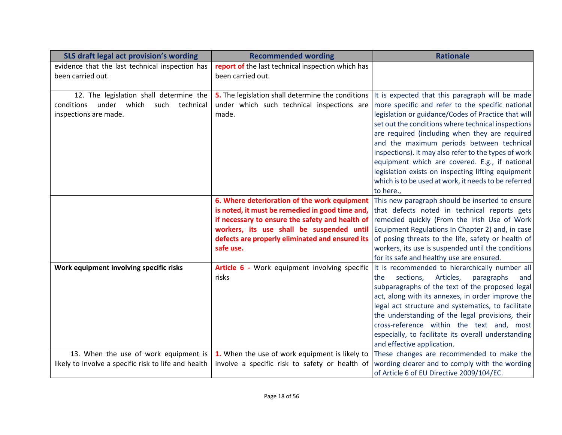| SLS draft legal act provision's wording                              | <b>Recommended wording</b>                                             | <b>Rationale</b>                                             |
|----------------------------------------------------------------------|------------------------------------------------------------------------|--------------------------------------------------------------|
| evidence that the last technical inspection has<br>been carried out. | report of the last technical inspection which has<br>been carried out. |                                                              |
| 12. The legislation shall determine the                              | 5. The legislation shall determine the conditions                      | It is expected that this paragraph will be made              |
| under which<br>such<br>conditions<br>technical                       | under which such technical inspections are                             | more specific and refer to the specific national             |
| inspections are made.                                                | made.                                                                  | legislation or guidance/Codes of Practice that will          |
|                                                                      |                                                                        | set out the conditions where technical inspections           |
|                                                                      |                                                                        | are required (including when they are required               |
|                                                                      |                                                                        | and the maximum periods between technical                    |
|                                                                      |                                                                        | inspections). It may also refer to the types of work         |
|                                                                      |                                                                        | equipment which are covered. E.g., if national               |
|                                                                      |                                                                        | legislation exists on inspecting lifting equipment           |
|                                                                      |                                                                        | which is to be used at work, it needs to be referred         |
|                                                                      | 6. Where deterioration of the work equipment                           | to here.,<br>This new paragraph should be inserted to ensure |
|                                                                      | is noted, it must be remedied in good time and,                        | that defects noted in technical reports gets                 |
|                                                                      | if necessary to ensure the safety and health of                        | remedied quickly (From the Irish Use of Work                 |
|                                                                      | workers, its use shall be suspended until                              | Equipment Regulations In Chapter 2) and, in case             |
|                                                                      | defects are properly eliminated and ensured its                        | of posing threats to the life, safety or health of           |
|                                                                      | safe use.                                                              | workers, its use is suspended until the conditions           |
|                                                                      |                                                                        | for its safe and healthy use are ensured.                    |
| Work equipment involving specific risks                              | Article 6 - Work equipment involving specific                          | It is recommended to hierarchically number all               |
|                                                                      | risks                                                                  | sections,<br>Articles,<br>paragraphs<br>the<br>and           |
|                                                                      |                                                                        | subparagraphs of the text of the proposed legal              |
|                                                                      |                                                                        | act, along with its annexes, in order improve the            |
|                                                                      |                                                                        | legal act structure and systematics, to facilitate           |
|                                                                      |                                                                        | the understanding of the legal provisions, their             |
|                                                                      |                                                                        | cross-reference within the text and, most                    |
|                                                                      |                                                                        | especially, to facilitate its overall understanding          |
|                                                                      |                                                                        | and effective application.                                   |
| 13. When the use of work equipment is                                | 1. When the use of work equipment is likely to                         | These changes are recommended to make the                    |
| likely to involve a specific risk to life and health                 | involve a specific risk to safety or health of                         | wording clearer and to comply with the wording               |
|                                                                      |                                                                        | of Article 6 of EU Directive 2009/104/EC.                    |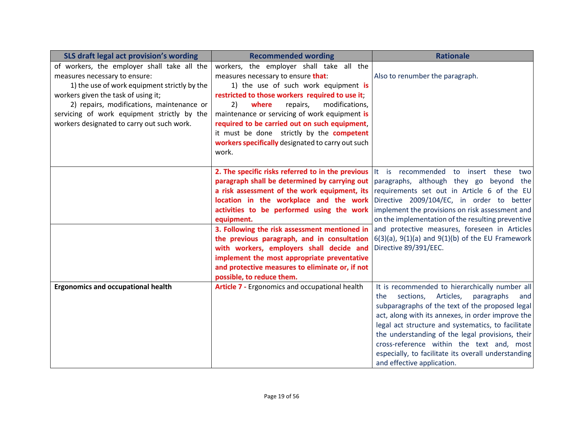| SLS draft legal act provision's wording                                                                                                                                                                                                                                                                       | <b>Recommended wording</b>                                                                                                                                                                                                                                                                                                                                                                                                                                                    | <b>Rationale</b>                                                                                                                                                                                                                                                                                                                                                                                                                                                                   |
|---------------------------------------------------------------------------------------------------------------------------------------------------------------------------------------------------------------------------------------------------------------------------------------------------------------|-------------------------------------------------------------------------------------------------------------------------------------------------------------------------------------------------------------------------------------------------------------------------------------------------------------------------------------------------------------------------------------------------------------------------------------------------------------------------------|------------------------------------------------------------------------------------------------------------------------------------------------------------------------------------------------------------------------------------------------------------------------------------------------------------------------------------------------------------------------------------------------------------------------------------------------------------------------------------|
| of workers, the employer shall take all the<br>measures necessary to ensure:<br>1) the use of work equipment strictly by the<br>workers given the task of using it;<br>2) repairs, modifications, maintenance or<br>servicing of work equipment strictly by the<br>workers designated to carry out such work. | workers, the employer shall take all the<br>measures necessary to ensure that:<br>1) the use of such work equipment is<br>restricted to those workers required to use it;<br>modifications,<br>2)<br>where<br>repairs,<br>maintenance or servicing of work equipment is<br>required to be carried out on such equipment,<br>it must be done strictly by the competent<br>workers specifically designated to carry out such<br>work.                                           | Also to renumber the paragraph.                                                                                                                                                                                                                                                                                                                                                                                                                                                    |
|                                                                                                                                                                                                                                                                                                               | paragraph shall be determined by carrying out<br>a risk assessment of the work equipment, its<br>location in the workplace and the work<br>activities to be performed using the work<br>equipment.<br>3. Following the risk assessment mentioned in<br>the previous paragraph, and in consultation<br>with workers, employers shall decide and<br>implement the most appropriate preventative<br>and protective measures to eliminate or, if not<br>possible, to reduce them. | <b>2. The specific risks referred to in the previous</b> It is recommended to insert these two<br>paragraphs, although they go beyond the<br>requirements set out in Article 6 of the EU<br>Directive 2009/104/EC, in order to better<br>implement the provisions on risk assessment and<br>on the implementation of the resulting preventive<br>and protective measures, foreseen in Articles<br>$6(3)(a)$ , $9(1)(a)$ and $9(1)(b)$ of the EU Framework<br>Directive 89/391/EEC. |
| <b>Ergonomics and occupational health</b>                                                                                                                                                                                                                                                                     | <b>Article 7 - Ergonomics and occupational health</b>                                                                                                                                                                                                                                                                                                                                                                                                                         | It is recommended to hierarchically number all<br>sections,<br>Articles,<br>paragraphs<br>the<br>and<br>subparagraphs of the text of the proposed legal<br>act, along with its annexes, in order improve the<br>legal act structure and systematics, to facilitate<br>the understanding of the legal provisions, their<br>cross-reference within the text and, most<br>especially, to facilitate its overall understanding<br>and effective application.                           |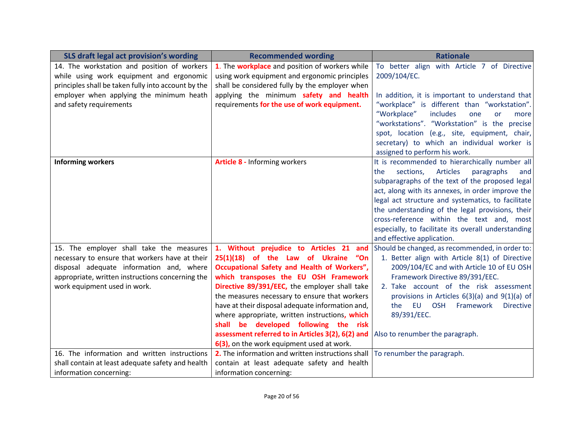| SLS draft legal act provision's wording             | <b>Recommended wording</b>                        | <b>Rationale</b>                                         |
|-----------------------------------------------------|---------------------------------------------------|----------------------------------------------------------|
| 14. The workstation and position of workers         | 1. The workplace and position of workers while    | To better align with Article 7 of Directive              |
| while using work equipment and ergonomic            | using work equipment and ergonomic principles     | 2009/104/EC.                                             |
| principles shall be taken fully into account by the | shall be considered fully by the employer when    |                                                          |
| employer when applying the minimum heath            | applying the minimum safety and health            | In addition, it is important to understand that          |
| and safety requirements                             | requirements for the use of work equipment.       | "workplace" is different than "workstation".             |
|                                                     |                                                   | "Workplace"<br>includes<br>one<br><b>or</b><br>more      |
|                                                     |                                                   | "workstations". "Workstation" is the precise             |
|                                                     |                                                   | spot, location (e.g., site, equipment, chair,            |
|                                                     |                                                   | secretary) to which an individual worker is              |
|                                                     |                                                   | assigned to perform his work.                            |
| <b>Informing workers</b>                            | <b>Article 8 - Informing workers</b>              | It is recommended to hierarchically number all           |
|                                                     |                                                   | <b>Articles</b><br>sections,<br>the<br>paragraphs<br>and |
|                                                     |                                                   | subparagraphs of the text of the proposed legal          |
|                                                     |                                                   | act, along with its annexes, in order improve the        |
|                                                     |                                                   | legal act structure and systematics, to facilitate       |
|                                                     |                                                   | the understanding of the legal provisions, their         |
|                                                     |                                                   | cross-reference within the text and, most                |
|                                                     |                                                   | especially, to facilitate its overall understanding      |
|                                                     |                                                   | and effective application.                               |
| 15. The employer shall take the measures            | 1. Without prejudice to Articles 21 and           | Should be changed, as recommended, in order to:          |
| necessary to ensure that workers have at their      | 25(1)(18) of the Law of Ukraine<br>"On            | 1. Better align with Article 8(1) of Directive           |
| disposal adequate information and, where            | Occupational Safety and Health of Workers",       | 2009/104/EC and with Article 10 of EU OSH                |
| appropriate, written instructions concerning the    | which transposes the EU OSH Framework             | Framework Directive 89/391/EEC.                          |
| work equipment used in work.                        | Directive 89/391/EEC, the employer shall take     | 2. Take account of the risk assessment                   |
|                                                     | the measures necessary to ensure that workers     | provisions in Articles 6(3)(a) and 9(1)(a) of            |
|                                                     | have at their disposal adequate information and,  | EU OSH<br>Framework<br><b>Directive</b><br>the           |
|                                                     | where appropriate, written instructions, which    | 89/391/EEC.                                              |
|                                                     | shall be developed following the risk             |                                                          |
|                                                     | assessment referred to in Articles 3(2), 6(2) and | Also to renumber the paragraph.                          |
|                                                     | 6(3), on the work equipment used at work.         |                                                          |
| 16. The information and written instructions        | 2. The information and written instructions shall | To renumber the paragraph.                               |
| shall contain at least adequate safety and health   | contain at least adequate safety and health       |                                                          |
| information concerning:                             | information concerning:                           |                                                          |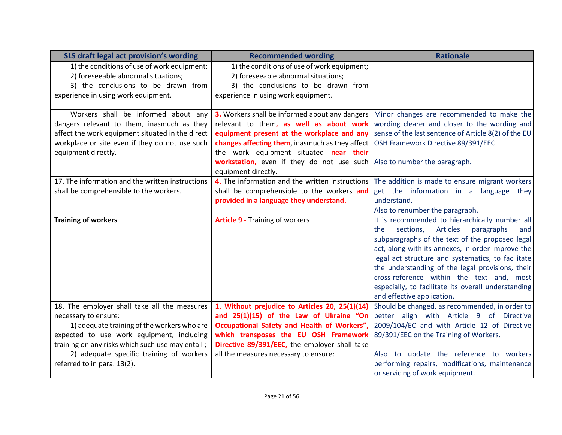| SLS draft legal act provision's wording          | <b>Recommended wording</b>                      | <b>Rationale</b>                                     |
|--------------------------------------------------|-------------------------------------------------|------------------------------------------------------|
| 1) the conditions of use of work equipment;      | 1) the conditions of use of work equipment;     |                                                      |
| 2) foreseeable abnormal situations;              | 2) foreseeable abnormal situations;             |                                                      |
| 3) the conclusions to be drawn from              | 3) the conclusions to be drawn from             |                                                      |
| experience in using work equipment.              | experience in using work equipment.             |                                                      |
|                                                  |                                                 |                                                      |
| Workers shall be informed about any              | 3. Workers shall be informed about any dangers  | Minor changes are recommended to make the            |
| dangers relevant to them, inasmuch as they       | relevant to them, as well as about work         | wording clearer and closer to the wording and        |
| affect the work equipment situated in the direct | equipment present at the workplace and any      | sense of the last sentence of Article 8(2) of the EU |
| workplace or site even if they do not use such   | changes affecting them, inasmuch as they affect | OSH Framework Directive 89/391/EEC.                  |
| equipment directly.                              | the work equipment situated near their          |                                                      |
|                                                  | workstation, even if they do not use such       | Also to number the paragraph.                        |
|                                                  | equipment directly.                             |                                                      |
| 17. The information and the written instructions | 4. The information and the written instructions | The addition is made to ensure migrant workers       |
| shall be comprehensible to the workers.          | shall be comprehensible to the workers and      | get the information in a language they               |
|                                                  | provided in a language they understand.         | understand.                                          |
|                                                  |                                                 | Also to renumber the paragraph.                      |
| <b>Training of workers</b>                       | <b>Article 9 - Training of workers</b>          | It is recommended to hierarchically number all       |
|                                                  |                                                 | sections, Articles<br>the<br>paragraphs<br>and       |
|                                                  |                                                 | subparagraphs of the text of the proposed legal      |
|                                                  |                                                 | act, along with its annexes, in order improve the    |
|                                                  |                                                 | legal act structure and systematics, to facilitate   |
|                                                  |                                                 | the understanding of the legal provisions, their     |
|                                                  |                                                 | cross-reference within the text and, most            |
|                                                  |                                                 | especially, to facilitate its overall understanding  |
|                                                  |                                                 | and effective application.                           |
| 18. The employer shall take all the measures     | 1. Without prejudice to Articles 20, 25(1)(14)  | Should be changed, as recommended, in order to       |
| necessary to ensure:                             | and 25(1)(15) of the Law of Ukraine "On         | better align with Article 9 of Directive             |
| 1) adequate training of the workers who are      | Occupational Safety and Health of Workers",     | 2009/104/EC and with Article 12 of Directive         |
| expected to use work equipment, including        | which transposes the EU OSH Framework           | 89/391/EEC on the Training of Workers.               |
| training on any risks which such use may entail; | Directive 89/391/EEC, the employer shall take   |                                                      |
| 2) adequate specific training of workers         | all the measures necessary to ensure:           | Also to update the reference to workers              |
| referred to in para. 13(2).                      |                                                 | performing repairs, modifications, maintenance       |
|                                                  |                                                 | or servicing of work equipment.                      |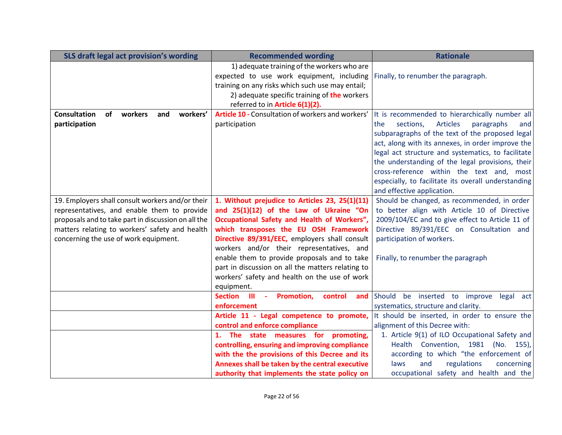| SLS draft legal act provision's wording                 | <b>Recommended wording</b>                        | <b>Rationale</b>                                         |
|---------------------------------------------------------|---------------------------------------------------|----------------------------------------------------------|
|                                                         | 1) adequate training of the workers who are       |                                                          |
|                                                         | expected to use work equipment, including         | Finally, to renumber the paragraph.                      |
|                                                         | training on any risks which such use may entail;  |                                                          |
|                                                         | 2) adequate specific training of the workers      |                                                          |
|                                                         | referred to in Article 6(1)(2).                   |                                                          |
| <b>Consultation</b><br>of<br>workers<br>workers'<br>and | Article 10 - Consultation of workers and workers' | It is recommended to hierarchically number all           |
| participation                                           | participation                                     | the<br>sections,<br><b>Articles</b><br>paragraphs<br>and |
|                                                         |                                                   | subparagraphs of the text of the proposed legal          |
|                                                         |                                                   | act, along with its annexes, in order improve the        |
|                                                         |                                                   | legal act structure and systematics, to facilitate       |
|                                                         |                                                   | the understanding of the legal provisions, their         |
|                                                         |                                                   | cross-reference within the text and, most                |
|                                                         |                                                   | especially, to facilitate its overall understanding      |
|                                                         |                                                   | and effective application.                               |
| 19. Employers shall consult workers and/or their        | 1. Without prejudice to Articles 23, 25(1)(11)    | Should be changed, as recommended, in order              |
| representatives, and enable them to provide             | and 25(1)(12) of the Law of Ukraine "On           | to better align with Article 10 of Directive             |
| proposals and to take part in discussion on all the     | Occupational Safety and Health of Workers",       | 2009/104/EC and to give effect to Article 11 of          |
| matters relating to workers' safety and health          | which transposes the EU OSH Framework             | Directive 89/391/EEC on Consultation and                 |
| concerning the use of work equipment.                   | Directive 89/391/EEC, employers shall consult     | participation of workers.                                |
|                                                         | workers and/or their representatives, and         |                                                          |
|                                                         | enable them to provide proposals and to take      | Finally, to renumber the paragraph                       |
|                                                         | part in discussion on all the matters relating to |                                                          |
|                                                         | workers' safety and health on the use of work     |                                                          |
|                                                         | equipment.                                        |                                                          |
|                                                         | Section III<br>- Promotion,<br>control<br>and     | Should be inserted to improve<br>legal act               |
|                                                         | enforcement                                       | systematics, structure and clarity.                      |
|                                                         | Article 11 - Legal competence to promote,         | It should be inserted, in order to ensure the            |
|                                                         | control and enforce compliance                    | alignment of this Decree with:                           |
|                                                         | 1. The state measures for promoting,              | 1. Article 9(1) of ILO Occupational Safety and           |
|                                                         | controlling, ensuring and improving compliance    | Health Convention, 1981 (No. 155),                       |
|                                                         | with the the provisions of this Decree and its    | according to which "the enforcement of                   |
|                                                         | Annexes shall be taken by the central executive   | and<br>regulations<br>laws<br>concerning                 |
|                                                         | authority that implements the state policy on     | occupational safety and health and the                   |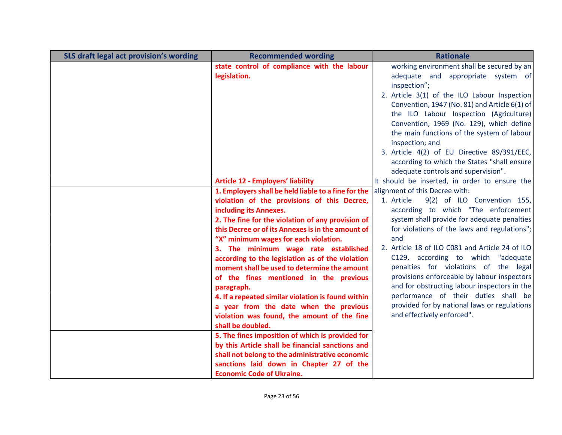| SLS draft legal act provision's wording | <b>Recommended wording</b>                                       | <b>Rationale</b>                                                                     |
|-----------------------------------------|------------------------------------------------------------------|--------------------------------------------------------------------------------------|
|                                         | state control of compliance with the labour                      | working environment shall be secured by an                                           |
|                                         | legislation.                                                     | adequate and appropriate system of                                                   |
|                                         |                                                                  | inspection";                                                                         |
|                                         |                                                                  | 2. Article 3(1) of the ILO Labour Inspection                                         |
|                                         |                                                                  | Convention, 1947 (No. 81) and Article 6(1) of                                        |
|                                         |                                                                  | the ILO Labour Inspection (Agriculture)                                              |
|                                         |                                                                  | Convention, 1969 (No. 129), which define                                             |
|                                         |                                                                  | the main functions of the system of labour                                           |
|                                         |                                                                  | inspection; and                                                                      |
|                                         |                                                                  | 3. Article 4(2) of EU Directive 89/391/EEC,                                          |
|                                         |                                                                  | according to which the States "shall ensure                                          |
|                                         |                                                                  | adequate controls and supervision".                                                  |
|                                         | <b>Article 12 - Employers' liability</b>                         | It should be inserted, in order to ensure the                                        |
|                                         | 1. Employers shall be held liable to a fine for the              | alignment of this Decree with:                                                       |
|                                         | violation of the provisions of this Decree,                      | 1. Article<br>9(2) of ILO Convention 155,                                            |
|                                         | including its Annexes.                                           | according to which "The enforcement                                                  |
|                                         | 2. The fine for the violation of any provision of                | system shall provide for adequate penalties                                          |
|                                         | this Decree or of its Annexes is in the amount of                | for violations of the laws and regulations";                                         |
|                                         | "X" minimum wages for each violation.                            | and                                                                                  |
|                                         | 3. The minimum wage rate established                             | 2. Article 18 of ILO C081 and Article 24 of ILO                                      |
|                                         | according to the legislation as of the violation                 | C129, according to which "adequate                                                   |
|                                         | moment shall be used to determine the amount                     | penalties for violations of the legal<br>provisions enforceable by labour inspectors |
|                                         | of the fines mentioned in the previous                           | and for obstructing labour inspectors in the                                         |
|                                         | paragraph.                                                       | performance of their duties shall be                                                 |
|                                         | 4. If a repeated similar violation is found within               | provided for by national laws or regulations                                         |
|                                         | a year from the date when the previous                           | and effectively enforced".                                                           |
|                                         | violation was found, the amount of the fine<br>shall be doubled. |                                                                                      |
|                                         | 5. The fines imposition of which is provided for                 |                                                                                      |
|                                         | by this Article shall be financial sanctions and                 |                                                                                      |
|                                         | shall not belong to the administrative economic                  |                                                                                      |
|                                         | sanctions laid down in Chapter 27 of the                         |                                                                                      |
|                                         | <b>Economic Code of Ukraine.</b>                                 |                                                                                      |
|                                         |                                                                  |                                                                                      |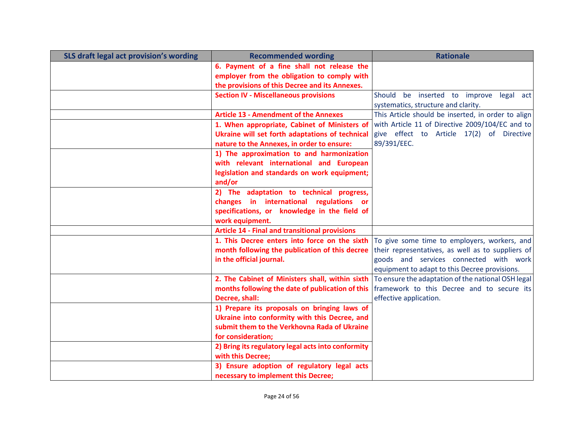| SLS draft legal act provision's wording | <b>Recommended wording</b>                            | <b>Rationale</b>                                   |
|-----------------------------------------|-------------------------------------------------------|----------------------------------------------------|
|                                         | 6. Payment of a fine shall not release the            |                                                    |
|                                         | employer from the obligation to comply with           |                                                    |
|                                         | the provisions of this Decree and its Annexes.        |                                                    |
|                                         | <b>Section IV - Miscellaneous provisions</b>          | Should be inserted to improve legal act            |
|                                         |                                                       | systematics, structure and clarity.                |
|                                         | <b>Article 13 - Amendment of the Annexes</b>          | This Article should be inserted, in order to align |
|                                         | 1. When appropriate, Cabinet of Ministers of          | with Article 11 of Directive 2009/104/EC and to    |
|                                         | Ukraine will set forth adaptations of technical       | give effect to Article 17(2) of Directive          |
|                                         | nature to the Annexes, in order to ensure:            | 89/391/EEC.                                        |
|                                         | 1) The approximation to and harmonization             |                                                    |
|                                         | with relevant international and European              |                                                    |
|                                         | legislation and standards on work equipment;          |                                                    |
|                                         | and/or                                                |                                                    |
|                                         | 2) The adaptation to technical progress,              |                                                    |
|                                         | changes in international regulations or               |                                                    |
|                                         | specifications, or knowledge in the field of          |                                                    |
|                                         | work equipment.                                       |                                                    |
|                                         | <b>Article 14 - Final and transitional provisions</b> |                                                    |
|                                         | 1. This Decree enters into force on the sixth         | To give some time to employers, workers, and       |
|                                         | month following the publication of this decree        | their representatives, as well as to suppliers of  |
|                                         | in the official journal.                              | goods and services connected with work             |
|                                         |                                                       | equipment to adapt to this Decree provisions.      |
|                                         | 2. The Cabinet of Ministers shall, within sixth       | To ensure the adaptation of the national OSH legal |
|                                         | months following the date of publication of this      | framework to this Decree and to secure its         |
|                                         | Decree, shall:                                        | effective application.                             |
|                                         | 1) Prepare its proposals on bringing laws of          |                                                    |
|                                         | Ukraine into conformity with this Decree, and         |                                                    |
|                                         | submit them to the Verkhovna Rada of Ukraine          |                                                    |
|                                         | for consideration;                                    |                                                    |
|                                         | 2) Bring its regulatory legal acts into conformity    |                                                    |
|                                         | with this Decree:                                     |                                                    |
|                                         | 3) Ensure adoption of regulatory legal acts           |                                                    |
|                                         | necessary to implement this Decree;                   |                                                    |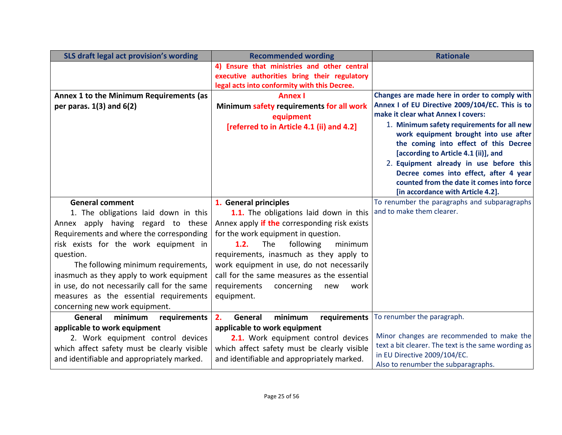| SLS draft legal act provision's wording                                                                                                                                                                                                                                                                                                                                                                               | <b>Recommended wording</b>                                                                                                                                                                                                                                                                                                                                                                             | <b>Rationale</b>                                                                                                                                                                                                                                                                                                                                                                                                                                 |
|-----------------------------------------------------------------------------------------------------------------------------------------------------------------------------------------------------------------------------------------------------------------------------------------------------------------------------------------------------------------------------------------------------------------------|--------------------------------------------------------------------------------------------------------------------------------------------------------------------------------------------------------------------------------------------------------------------------------------------------------------------------------------------------------------------------------------------------------|--------------------------------------------------------------------------------------------------------------------------------------------------------------------------------------------------------------------------------------------------------------------------------------------------------------------------------------------------------------------------------------------------------------------------------------------------|
|                                                                                                                                                                                                                                                                                                                                                                                                                       | 4) Ensure that ministries and other central                                                                                                                                                                                                                                                                                                                                                            |                                                                                                                                                                                                                                                                                                                                                                                                                                                  |
|                                                                                                                                                                                                                                                                                                                                                                                                                       | executive authorities bring their regulatory                                                                                                                                                                                                                                                                                                                                                           |                                                                                                                                                                                                                                                                                                                                                                                                                                                  |
| Annex 1 to the Minimum Requirements (as<br>per paras. $1(3)$ and $6(2)$                                                                                                                                                                                                                                                                                                                                               | legal acts into conformity with this Decree.<br><b>Annex I</b><br>Minimum safety requirements for all work<br>equipment<br>[referred to in Article 4.1 (ii) and 4.2]                                                                                                                                                                                                                                   | Changes are made here in order to comply with<br>Annex I of EU Directive 2009/104/EC. This is to<br>make it clear what Annex I covers:<br>1. Minimum safety requirements for all new<br>work equipment brought into use after<br>the coming into effect of this Decree<br>[according to Article 4.1 (ii)], and<br>2. Equipment already in use before this<br>Decree comes into effect, after 4 year<br>counted from the date it comes into force |
| <b>General comment</b><br>1. The obligations laid down in this<br>Annex apply having regard to these<br>Requirements and where the corresponding<br>risk exists for the work equipment in<br>question.<br>The following minimum requirements,<br>inasmuch as they apply to work equipment<br>in use, do not necessarily call for the same<br>measures as the essential requirements<br>concerning new work equipment. | 1. General principles<br>1.1. The obligations laid down in this<br>Annex apply if the corresponding risk exists<br>for the work equipment in question.<br><b>The</b><br>following<br>1.2.<br>minimum<br>requirements, inasmuch as they apply to<br>work equipment in use, do not necessarily<br>call for the same measures as the essential<br>requirements<br>concerning<br>new<br>work<br>equipment. | [in accordance with Article 4.2].<br>To renumber the paragraphs and subparagraphs<br>and to make them clearer.                                                                                                                                                                                                                                                                                                                                   |
| General<br>minimum<br>requirements                                                                                                                                                                                                                                                                                                                                                                                    | 2.<br>minimum<br>General<br>requirements                                                                                                                                                                                                                                                                                                                                                               | To renumber the paragraph.                                                                                                                                                                                                                                                                                                                                                                                                                       |
| applicable to work equipment<br>2. Work equipment control devices<br>which affect safety must be clearly visible<br>and identifiable and appropriately marked.                                                                                                                                                                                                                                                        | applicable to work equipment<br>2.1. Work equipment control devices<br>which affect safety must be clearly visible<br>and identifiable and appropriately marked.                                                                                                                                                                                                                                       | Minor changes are recommended to make the<br>text a bit clearer. The text is the same wording as<br>in EU Directive 2009/104/EC.<br>Also to renumber the subparagraphs.                                                                                                                                                                                                                                                                          |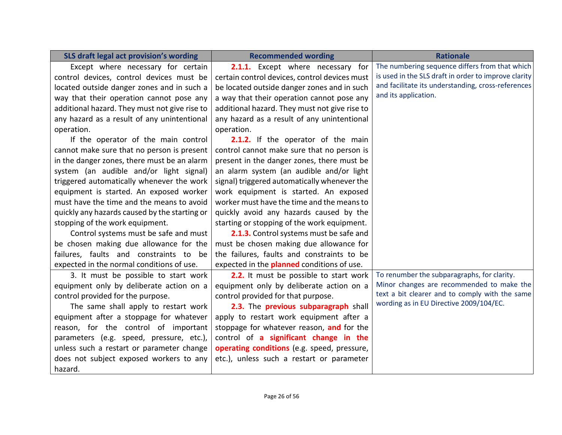| SLS draft legal act provision's wording       | <b>Recommended wording</b>                        | <b>Rationale</b>                                     |
|-----------------------------------------------|---------------------------------------------------|------------------------------------------------------|
| Except where necessary for certain            | 2.1.1. Except where necessary for                 | The numbering sequence differs from that which       |
| control devices, control devices must be      | certain control devices, control devices must     | is used in the SLS draft in order to improve clarity |
| located outside danger zones and in such a    | be located outside danger zones and in such       | and facilitate its understanding, cross-references   |
| way that their operation cannot pose any      | a way that their operation cannot pose any        | and its application.                                 |
| additional hazard. They must not give rise to | additional hazard. They must not give rise to     |                                                      |
| any hazard as a result of any unintentional   | any hazard as a result of any unintentional       |                                                      |
| operation.                                    | operation.                                        |                                                      |
| If the operator of the main control           | 2.1.2. If the operator of the main                |                                                      |
| cannot make sure that no person is present    | control cannot make sure that no person is        |                                                      |
| in the danger zones, there must be an alarm   | present in the danger zones, there must be        |                                                      |
| system (an audible and/or light signal)       | an alarm system (an audible and/or light          |                                                      |
| triggered automatically whenever the work     | signal) triggered automatically whenever the      |                                                      |
| equipment is started. An exposed worker       | work equipment is started. An exposed             |                                                      |
| must have the time and the means to avoid     | worker must have the time and the means to        |                                                      |
| quickly any hazards caused by the starting or | quickly avoid any hazards caused by the           |                                                      |
| stopping of the work equipment.               | starting or stopping of the work equipment.       |                                                      |
| Control systems must be safe and must         | 2.1.3. Control systems must be safe and           |                                                      |
| be chosen making due allowance for the        | must be chosen making due allowance for           |                                                      |
| failures, faults and constraints to be        | the failures, faults and constraints to be        |                                                      |
| expected in the normal conditions of use.     | expected in the <b>planned</b> conditions of use. |                                                      |
| 3. It must be possible to start work          | 2.2. It must be possible to start work            | To renumber the subparagraphs, for clarity.          |
| equipment only by deliberate action on a      | equipment only by deliberate action on a          | Minor changes are recommended to make the            |
| control provided for the purpose.             | control provided for that purpose.                | text a bit clearer and to comply with the same       |
| The same shall apply to restart work          | 2.3. The previous subparagraph shall              | wording as in EU Directive 2009/104/EC.              |
| equipment after a stoppage for whatever       | apply to restart work equipment after a           |                                                      |
| reason, for the control of important          | stoppage for whatever reason, and for the         |                                                      |
| parameters (e.g. speed, pressure, etc.),      | control of a significant change in the            |                                                      |
| unless such a restart or parameter change     | operating conditions (e.g. speed, pressure,       |                                                      |
| does not subject exposed workers to any       | etc.), unless such a restart or parameter         |                                                      |
| hazard.                                       |                                                   |                                                      |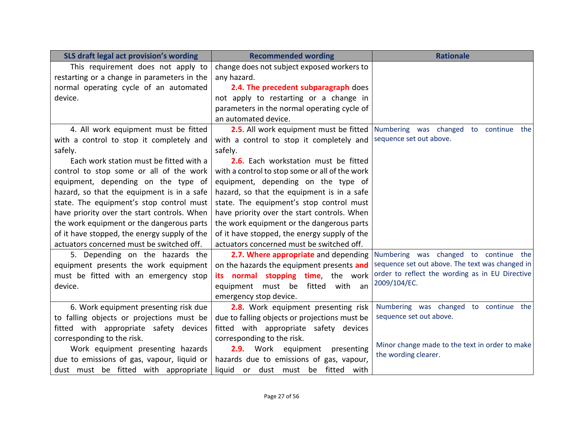| SLS draft legal act provision's wording      | <b>Recommended wording</b>                     | <b>Rationale</b>                                                       |
|----------------------------------------------|------------------------------------------------|------------------------------------------------------------------------|
| This requirement does not apply to           | change does not subject exposed workers to     |                                                                        |
| restarting or a change in parameters in the  | any hazard.                                    |                                                                        |
| normal operating cycle of an automated       | 2.4. The precedent subparagraph does           |                                                                        |
| device.                                      | not apply to restarting or a change in         |                                                                        |
|                                              | parameters in the normal operating cycle of    |                                                                        |
|                                              | an automated device.                           |                                                                        |
| 4. All work equipment must be fitted         | 2.5. All work equipment must be fitted         | Numbering was changed to continue the                                  |
| with a control to stop it completely and     | with a control to stop it completely and       | sequence set out above.                                                |
| safely.                                      | safely.                                        |                                                                        |
| Each work station must be fitted with a      | 2.6. Each workstation must be fitted           |                                                                        |
| control to stop some or all of the work      | with a control to stop some or all of the work |                                                                        |
| equipment, depending on the type of          | equipment, depending on the type of            |                                                                        |
| hazard, so that the equipment is in a safe   | hazard, so that the equipment is in a safe     |                                                                        |
| state. The equipment's stop control must     | state. The equipment's stop control must       |                                                                        |
| have priority over the start controls. When  | have priority over the start controls. When    |                                                                        |
| the work equipment or the dangerous parts    | the work equipment or the dangerous parts      |                                                                        |
| of it have stopped, the energy supply of the | of it have stopped, the energy supply of the   |                                                                        |
| actuators concerned must be switched off.    | actuators concerned must be switched off.      |                                                                        |
| 5. Depending on the hazards the              | 2.7. Where appropriate and depending           | Numbering was changed to continue the                                  |
| equipment presents the work equipment        | on the hazards the equipment presents and      | sequence set out above. The text was changed in                        |
| must be fitted with an emergency stop        | its normal stopping time, the work             | order to reflect the wording as in EU Directive                        |
| device.                                      | equipment must be<br>fitted with an            | 2009/104/EC.                                                           |
|                                              | emergency stop device.                         |                                                                        |
| 6. Work equipment presenting risk due        | 2.8. Work equipment presenting risk            | Numbering was changed to continue the                                  |
| to falling objects or projections must be    | due to falling objects or projections must be  | sequence set out above.                                                |
| fitted with appropriate safety devices       | fitted with appropriate safety devices         |                                                                        |
| corresponding to the risk.                   | corresponding to the risk.                     |                                                                        |
| Work equipment presenting hazards            | 2.9. Work equipment<br>presenting              | Minor change made to the text in order to make<br>the wording clearer. |
| due to emissions of gas, vapour, liquid or   | hazards due to emissions of gas, vapour,       |                                                                        |
| dust must be fitted with appropriate         | liquid or dust must be fitted with             |                                                                        |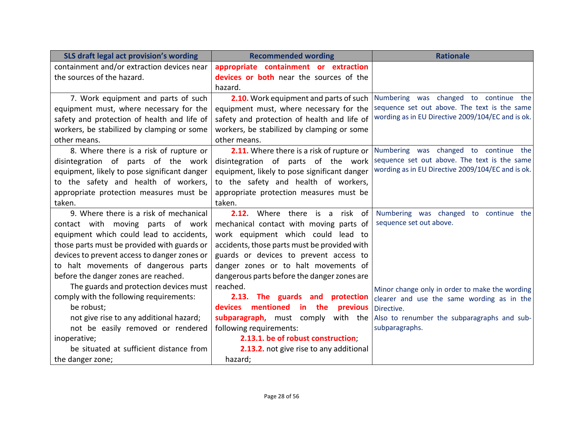| SLS draft legal act provision's wording      | <b>Recommended wording</b>                        | <b>Rationale</b>                                                                              |
|----------------------------------------------|---------------------------------------------------|-----------------------------------------------------------------------------------------------|
| containment and/or extraction devices near   | appropriate containment or extraction             |                                                                                               |
| the sources of the hazard.                   | devices or both near the sources of the           |                                                                                               |
|                                              | hazard.                                           |                                                                                               |
| 7. Work equipment and parts of such          | 2.10. Work equipment and parts of such            | Numbering was changed to continue the                                                         |
| equipment must, where necessary for the      | equipment must, where necessary for the           | sequence set out above. The text is the same                                                  |
| safety and protection of health and life of  | safety and protection of health and life of       | wording as in EU Directive 2009/104/EC and is ok.                                             |
| workers, be stabilized by clamping or some   | workers, be stabilized by clamping or some        |                                                                                               |
| other means.                                 | other means.                                      |                                                                                               |
| 8. Where there is a risk of rupture or       |                                                   | 2.11. Where there is a risk of rupture or   Numbering was changed to continue the             |
| disintegration of parts of the work          | disintegration of parts of the work               | sequence set out above. The text is the same                                                  |
| equipment, likely to pose significant danger | equipment, likely to pose significant danger      | wording as in EU Directive 2009/104/EC and is ok.                                             |
| to the safety and health of workers,         | to the safety and health of workers,              |                                                                                               |
| appropriate protection measures must be      | appropriate protection measures must be           |                                                                                               |
| taken.                                       | taken.                                            |                                                                                               |
| 9. Where there is a risk of mechanical       | Where there is a risk of<br>2.12.                 | Numbering was changed to continue the                                                         |
| contact with moving parts of work            | mechanical contact with moving parts of           | sequence set out above.                                                                       |
| equipment which could lead to accidents,     | work equipment which could lead to                |                                                                                               |
| those parts must be provided with guards or  | accidents, those parts must be provided with      |                                                                                               |
| devices to prevent access to danger zones or | guards or devices to prevent access to            |                                                                                               |
| to halt movements of dangerous parts         | danger zones or to halt movements of              |                                                                                               |
| before the danger zones are reached.         | dangerous parts before the danger zones are       |                                                                                               |
| The guards and protection devices must       | reached.                                          | Minor change only in order to make the wording                                                |
| comply with the following requirements:      | 2.13. The guards and protection                   | clearer and use the same wording as in the                                                    |
| be robust;                                   | mentioned<br>in the<br>previous<br><b>devices</b> | Directive.                                                                                    |
| not give rise to any additional hazard;      |                                                   | <b>subparagraph,</b> must comply with the $\vert$ Also to renumber the subparagraphs and sub- |
| not be easily removed or rendered            | following requirements:                           | subparagraphs.                                                                                |
| inoperative;                                 | 2.13.1. be of robust construction;                |                                                                                               |
| be situated at sufficient distance from      | 2.13.2. not give rise to any additional           |                                                                                               |
| the danger zone;                             | hazard;                                           |                                                                                               |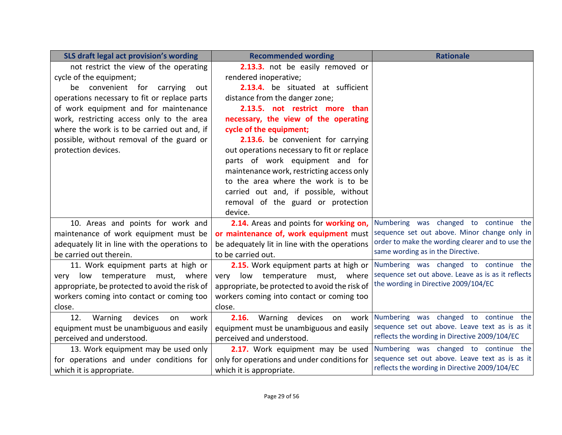| SLS draft legal act provision's wording        | <b>Recommended wording</b>                     | <b>Rationale</b>                                   |
|------------------------------------------------|------------------------------------------------|----------------------------------------------------|
| not restrict the view of the operating         | 2.13.3. not be easily removed or               |                                                    |
| cycle of the equipment;                        | rendered inoperative;                          |                                                    |
| be convenient for carrying<br>out              | 2.13.4. be situated at sufficient              |                                                    |
| operations necessary to fit or replace parts   | distance from the danger zone;                 |                                                    |
| of work equipment and for maintenance          | 2.13.5. not restrict more than                 |                                                    |
| work, restricting access only to the area      | necessary, the view of the operating           |                                                    |
| where the work is to be carried out and, if    | cycle of the equipment;                        |                                                    |
| possible, without removal of the guard or      | 2.13.6. be convenient for carrying             |                                                    |
| protection devices.                            | out operations necessary to fit or replace     |                                                    |
|                                                | parts of work equipment and for                |                                                    |
|                                                | maintenance work, restricting access only      |                                                    |
|                                                | to the area where the work is to be            |                                                    |
|                                                | carried out and, if possible, without          |                                                    |
|                                                | removal of the guard or protection             |                                                    |
|                                                | device.                                        |                                                    |
| 10. Areas and points for work and              | 2.14. Areas and points for working on,         | Numbering was changed to continue the              |
| maintenance of work equipment must be          | or maintenance of, work equipment must         | sequence set out above. Minor change only in       |
| adequately lit in line with the operations to  | be adequately lit in line with the operations  | order to make the wording clearer and to use the   |
| be carried out therein.                        | to be carried out.                             | same wording as in the Directive.                  |
| 11. Work equipment parts at high or            | 2.15. Work equipment parts at high or          | Numbering was changed to continue the              |
| very low temperature must, where               | very low temperature must, where               | sequence set out above. Leave as is as it reflects |
| appropriate, be protected to avoid the risk of | appropriate, be protected to avoid the risk of | the wording in Directive 2009/104/EC               |
| workers coming into contact or coming too      | workers coming into contact or coming too      |                                                    |
| close.                                         | close.                                         |                                                    |
| 12.<br>Warning<br>devices<br>on<br>work        | 2.16.<br>Warning devices on work               | Numbering was changed to continue the              |
| equipment must be unambiguous and easily       | equipment must be unambiguous and easily       | sequence set out above. Leave text as is as it     |
| perceived and understood.                      | perceived and understood.                      | reflects the wording in Directive 2009/104/EC      |
| 13. Work equipment may be used only            | 2.17. Work equipment may be used               | Numbering was changed to continue the              |
| for operations and under conditions for        | only for operations and under conditions for   | sequence set out above. Leave text as is as it     |
| which it is appropriate.                       | which it is appropriate.                       | reflects the wording in Directive 2009/104/EC      |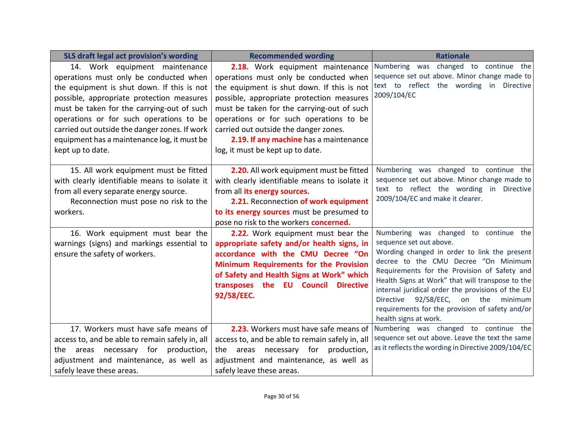| SLS draft legal act provision's wording                                                                                                                                                                                                                                                                                                                                          | <b>Recommended wording</b>                                                                                                                                                                                                                                                                                                                                                            | <b>Rationale</b>                                                                                                                                                                                                                                                                                                                                                                                                                                     |
|----------------------------------------------------------------------------------------------------------------------------------------------------------------------------------------------------------------------------------------------------------------------------------------------------------------------------------------------------------------------------------|---------------------------------------------------------------------------------------------------------------------------------------------------------------------------------------------------------------------------------------------------------------------------------------------------------------------------------------------------------------------------------------|------------------------------------------------------------------------------------------------------------------------------------------------------------------------------------------------------------------------------------------------------------------------------------------------------------------------------------------------------------------------------------------------------------------------------------------------------|
| 14. Work equipment maintenance<br>operations must only be conducted when<br>the equipment is shut down. If this is not<br>possible, appropriate protection measures<br>must be taken for the carrying-out of such<br>operations or for such operations to be<br>carried out outside the danger zones. If work<br>equipment has a maintenance log, it must be<br>kept up to date. | 2.18. Work equipment maintenance<br>operations must only be conducted when<br>the equipment is shut down. If this is not<br>possible, appropriate protection measures<br>must be taken for the carrying-out of such<br>operations or for such operations to be<br>carried out outside the danger zones.<br>2.19. If any machine has a maintenance<br>log, it must be kept up to date. | Numbering was changed to continue the<br>sequence set out above. Minor change made to<br>text to reflect the wording in Directive<br>2009/104/EC                                                                                                                                                                                                                                                                                                     |
| 15. All work equipment must be fitted<br>with clearly identifiable means to isolate it<br>from all every separate energy source.<br>Reconnection must pose no risk to the<br>workers.                                                                                                                                                                                            | 2.20. All work equipment must be fitted<br>with clearly identifiable means to isolate it<br>from all its energy sources.<br>2.21. Reconnection of work equipment<br>to its energy sources must be presumed to<br>pose no risk to the workers <b>concerned.</b>                                                                                                                        | Numbering was changed to continue the<br>sequence set out above. Minor change made to<br>text to reflect the wording in Directive<br>2009/104/EC and make it clearer.                                                                                                                                                                                                                                                                                |
| 16. Work equipment must bear the<br>warnings (signs) and markings essential to<br>ensure the safety of workers.                                                                                                                                                                                                                                                                  | 2.22. Work equipment must bear the<br>appropriate safety and/or health signs, in<br>accordance with the CMU Decree "On<br><b>Minimum Requirements for the Provision</b><br>of Safety and Health Signs at Work" which<br>transposes the EU Council<br><b>Directive</b><br>92/58/EEC.                                                                                                   | Numbering was changed to continue the<br>sequence set out above.<br>Wording changed in order to link the present<br>decree to the CMU Decree "On Minimum<br>Requirements for the Provision of Safety and<br>Health Signs at Work" that will transpose to the<br>internal juridical order the provisions of the EU<br><b>Directive</b><br>92/58/EEC,<br>on the<br>minimum<br>requirements for the provision of safety and/or<br>health signs at work. |
| 17. Workers must have safe means of<br>access to, and be able to remain safely in, all<br>the areas necessary for production,<br>adjustment and maintenance, as well as<br>safely leave these areas.                                                                                                                                                                             | 2.23. Workers must have safe means of<br>access to, and be able to remain safely in, all<br>the areas necessary for production,<br>adjustment and maintenance, as well as<br>safely leave these areas.                                                                                                                                                                                | Numbering was changed to continue the<br>sequence set out above. Leave the text the same<br>as it reflects the wording in Directive 2009/104/EC                                                                                                                                                                                                                                                                                                      |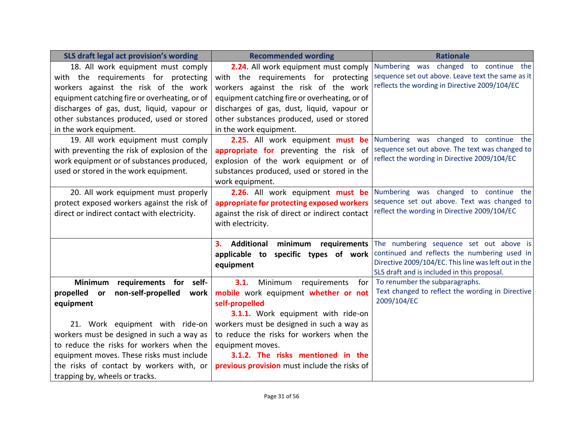| SLS draft legal act provision's wording       | <b>Recommended wording</b>                     | <b>Rationale</b>                                                                                     |
|-----------------------------------------------|------------------------------------------------|------------------------------------------------------------------------------------------------------|
| 18. All work equipment must comply            | 2.24. All work equipment must comply           | Numbering was changed to continue the                                                                |
| with the requirements for protecting          | with the requirements for protecting           | sequence set out above. Leave text the same as it                                                    |
| workers against the risk of the work          | workers against the risk of the work           | reflects the wording in Directive 2009/104/EC                                                        |
| equipment catching fire or overheating, or of | equipment catching fire or overheating, or of  |                                                                                                      |
| discharges of gas, dust, liquid, vapour or    | discharges of gas, dust, liquid, vapour or     |                                                                                                      |
| other substances produced, used or stored     | other substances produced, used or stored      |                                                                                                      |
| in the work equipment.                        | in the work equipment.                         |                                                                                                      |
| 19. All work equipment must comply            | 2.25. All work equipment must be               | Numbering was changed to continue the                                                                |
| with preventing the risk of explosion of the  | appropriate for preventing the risk of         | sequence set out above. The text was changed to                                                      |
| work equipment or of substances produced,     | explosion of the work equipment or of          | reflect the wording in Directive 2009/104/EC                                                         |
| used or stored in the work equipment.         | substances produced, used or stored in the     |                                                                                                      |
|                                               | work equipment.                                |                                                                                                      |
| 20. All work equipment must properly          | 2.26. All work equipment must be               | Numbering was changed to continue the                                                                |
| protect exposed workers against the risk of   | appropriate for protecting exposed workers     | sequence set out above. Text was changed to                                                          |
| direct or indirect contact with electricity.  | against the risk of direct or indirect contact | reflect the wording in Directive 2009/104/EC                                                         |
|                                               | with electricity.                              |                                                                                                      |
|                                               |                                                |                                                                                                      |
|                                               | Additional<br>minimum requirements<br>3.       | The numbering sequence set out above is                                                              |
|                                               | specific types of work<br>applicable to        | continued and reflects the numbering used in<br>Directive 2009/104/EC. This line was left out in the |
|                                               | equipment                                      | SLS draft and is included in this proposal.                                                          |
| <b>Minimum</b><br>requirements for self-      | 3.1.<br>Minimum<br>requirements<br>for         | To renumber the subparagraphs.                                                                       |
| propelled<br>non-self-propelled<br>or<br>work | mobile work equipment whether or not           | Text changed to reflect the wording in Directive                                                     |
| equipment                                     | self-propelled                                 | 2009/104/EC                                                                                          |
|                                               | 3.1.1. Work equipment with ride-on             |                                                                                                      |
| 21. Work equipment with ride-on               | workers must be designed in such a way as      |                                                                                                      |
| workers must be designed in such a way as     | to reduce the risks for workers when the       |                                                                                                      |
| to reduce the risks for workers when the      | equipment moves.                               |                                                                                                      |
| equipment moves. These risks must include     | 3.1.2. The risks mentioned in the              |                                                                                                      |
| the risks of contact by workers with, or      | previous provision must include the risks of   |                                                                                                      |
| trapping by, wheels or tracks.                |                                                |                                                                                                      |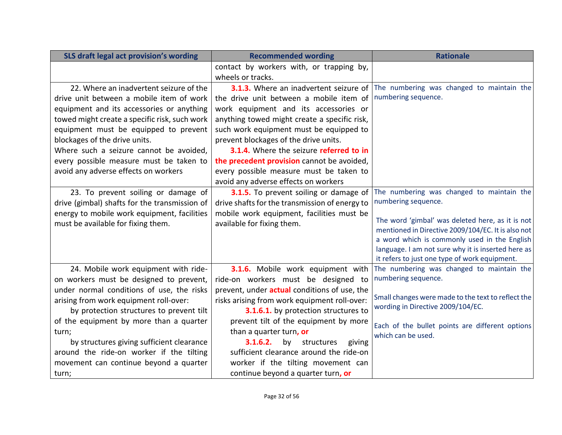| SLS draft legal act provision's wording       | <b>Recommended wording</b>                     | <b>Rationale</b>                                                                                       |
|-----------------------------------------------|------------------------------------------------|--------------------------------------------------------------------------------------------------------|
|                                               | contact by workers with, or trapping by,       |                                                                                                        |
|                                               | wheels or tracks.                              |                                                                                                        |
| 22. Where an inadvertent seizure of the       | 3.1.3. Where an inadvertent seizure of         | The numbering was changed to maintain the                                                              |
| drive unit between a mobile item of work      | the drive unit between a mobile item of        | numbering sequence.                                                                                    |
| equipment and its accessories or anything     | work equipment and its accessories or          |                                                                                                        |
| towed might create a specific risk, such work | anything towed might create a specific risk,   |                                                                                                        |
| equipment must be equipped to prevent         | such work equipment must be equipped to        |                                                                                                        |
| blockages of the drive units.                 | prevent blockages of the drive units.          |                                                                                                        |
| Where such a seizure cannot be avoided,       | 3.1.4. Where the seizure referred to in        |                                                                                                        |
| every possible measure must be taken to       | the precedent provision cannot be avoided,     |                                                                                                        |
| avoid any adverse effects on workers          | every possible measure must be taken to        |                                                                                                        |
|                                               | avoid any adverse effects on workers           |                                                                                                        |
| 23. To prevent soiling or damage of           | 3.1.5. To prevent soiling or damage of         | The numbering was changed to maintain the                                                              |
| drive (gimbal) shafts for the transmission of | drive shafts for the transmission of energy to | numbering sequence.                                                                                    |
| energy to mobile work equipment, facilities   | mobile work equipment, facilities must be      |                                                                                                        |
| must be available for fixing them.            | available for fixing them.                     | The word 'gimbal' was deleted here, as it is not<br>mentioned in Directive 2009/104/EC. It is also not |
|                                               |                                                | a word which is commonly used in the English                                                           |
|                                               |                                                | language. I am not sure why it is inserted here as                                                     |
|                                               |                                                | it refers to just one type of work equipment.                                                          |
| 24. Mobile work equipment with ride-          | 3.1.6. Mobile work equipment with              | The numbering was changed to maintain the                                                              |
| on workers must be designed to prevent,       | ride-on workers must be designed to            | numbering sequence.                                                                                    |
| under normal conditions of use, the risks     | prevent, under actual conditions of use, the   |                                                                                                        |
| arising from work equipment roll-over:        | risks arising from work equipment roll-over:   | Small changes were made to the text to reflect the                                                     |
| by protection structures to prevent tilt      | 3.1.6.1. by protection structures to           | wording in Directive 2009/104/EC.                                                                      |
| of the equipment by more than a quarter       | prevent tilt of the equipment by more          | Each of the bullet points are different options                                                        |
| turn;                                         | than a quarter turn, or                        | which can be used.                                                                                     |
| by structures giving sufficient clearance     | 3.1.6.2.<br>structures<br>giving<br>by         |                                                                                                        |
| around the ride-on worker if the tilting      | sufficient clearance around the ride-on        |                                                                                                        |
| movement can continue beyond a quarter        | worker if the tilting movement can             |                                                                                                        |
| turn;                                         | continue beyond a quarter turn, or             |                                                                                                        |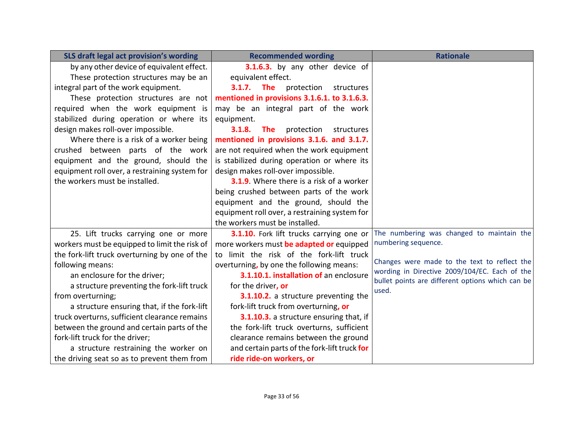| SLS draft legal act provision's wording       | <b>Recommended wording</b>                       | <b>Rationale</b>                                                                                  |
|-----------------------------------------------|--------------------------------------------------|---------------------------------------------------------------------------------------------------|
| by any other device of equivalent effect.     | 3.1.6.3. by any other device of                  |                                                                                                   |
| These protection structures may be an         | equivalent effect.                               |                                                                                                   |
| integral part of the work equipment.          | 3.1.7.<br><b>The</b><br>protection<br>structures |                                                                                                   |
| These protection structures are not           | mentioned in provisions 3.1.6.1. to 3.1.6.3.     |                                                                                                   |
| required when the work equipment is           | may be an integral part of the work              |                                                                                                   |
| stabilized during operation or where its      | equipment.                                       |                                                                                                   |
| design makes roll-over impossible.            | 3.1.8.<br><b>The</b><br>protection<br>structures |                                                                                                   |
| Where there is a risk of a worker being       | mentioned in provisions 3.1.6. and 3.1.7.        |                                                                                                   |
| crushed between parts of the work             | are not required when the work equipment         |                                                                                                   |
| equipment and the ground, should the          | is stabilized during operation or where its      |                                                                                                   |
| equipment roll over, a restraining system for | design makes roll-over impossible.               |                                                                                                   |
| the workers must be installed.                | 3.1.9. Where there is a risk of a worker         |                                                                                                   |
|                                               | being crushed between parts of the work          |                                                                                                   |
|                                               | equipment and the ground, should the             |                                                                                                   |
|                                               | equipment roll over, a restraining system for    |                                                                                                   |
|                                               | the workers must be installed.                   |                                                                                                   |
| 25. Lift trucks carrying one or more          | 3.1.10. Fork lift trucks carrying one or         | The numbering was changed to maintain the                                                         |
| workers must be equipped to limit the risk of | more workers must be adapted or equipped         | numbering sequence.                                                                               |
| the fork-lift truck overturning by one of the | to limit the risk of the fork-lift truck         |                                                                                                   |
| following means:                              | overturning, by one the following means:         | Changes were made to the text to reflect the                                                      |
| an enclosure for the driver;                  | 3.1.10.1. installation of an enclosure           | wording in Directive 2009/104/EC. Each of the<br>bullet points are different options which can be |
| a structure preventing the fork-lift truck    | for the driver, or                               | used.                                                                                             |
| from overturning;                             | 3.1.10.2. a structure preventing the             |                                                                                                   |
| a structure ensuring that, if the fork-lift   | fork-lift truck from overturning, or             |                                                                                                   |
| truck overturns, sufficient clearance remains | 3.1.10.3. a structure ensuring that, if          |                                                                                                   |
| between the ground and certain parts of the   | the fork-lift truck overturns, sufficient        |                                                                                                   |
| fork-lift truck for the driver;               | clearance remains between the ground             |                                                                                                   |
| a structure restraining the worker on         | and certain parts of the fork-lift truck for     |                                                                                                   |
| the driving seat so as to prevent them from   | ride ride-on workers, or                         |                                                                                                   |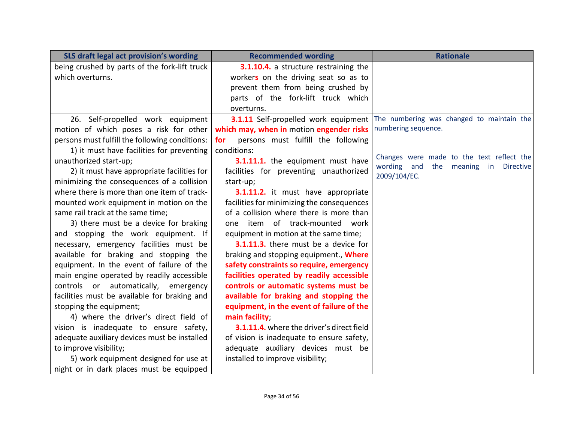| SLS draft legal act provision's wording        | <b>Recommended wording</b>                 | <b>Rationale</b>                                                                                        |
|------------------------------------------------|--------------------------------------------|---------------------------------------------------------------------------------------------------------|
| being crushed by parts of the fork-lift truck  | 3.1.10.4. a structure restraining the      |                                                                                                         |
| which overturns.                               | workers on the driving seat so as to       |                                                                                                         |
|                                                | prevent them from being crushed by         |                                                                                                         |
|                                                | parts of the fork-lift truck which         |                                                                                                         |
|                                                | overturns.                                 |                                                                                                         |
| 26. Self-propelled work equipment              | 3.1.11 Self-propelled work equipment       | The numbering was changed to maintain the                                                               |
| motion of which poses a risk for other         | which may, when in motion engender risks   | numbering sequence.                                                                                     |
| persons must fulfill the following conditions: | persons must fulfill the following<br>for  |                                                                                                         |
| 1) it must have facilities for preventing      | conditions:                                |                                                                                                         |
| unauthorized start-up;                         | 3.1.11.1. the equipment must have          | Changes were made to the text reflect the<br>wording<br>the<br>meaning<br>and<br><b>Directive</b><br>in |
| 2) it must have appropriate facilities for     | facilities for preventing unauthorized     | 2009/104/EC.                                                                                            |
| minimizing the consequences of a collision     | start-up;                                  |                                                                                                         |
| where there is more than one item of track-    | 3.1.11.2. it must have appropriate         |                                                                                                         |
| mounted work equipment in motion on the        | facilities for minimizing the consequences |                                                                                                         |
| same rail track at the same time;              | of a collision where there is more than    |                                                                                                         |
| 3) there must be a device for braking          | one item of track-mounted work             |                                                                                                         |
| and stopping the work equipment. If            | equipment in motion at the same time;      |                                                                                                         |
| necessary, emergency facilities must be        | 3.1.11.3. there must be a device for       |                                                                                                         |
| available for braking and stopping the         | braking and stopping equipment., Where     |                                                                                                         |
| equipment. In the event of failure of the      | safety constraints so require, emergency   |                                                                                                         |
| main engine operated by readily accessible     | facilities operated by readily accessible  |                                                                                                         |
| controls or automatically, emergency           | controls or automatic systems must be      |                                                                                                         |
| facilities must be available for braking and   | available for braking and stopping the     |                                                                                                         |
| stopping the equipment;                        | equipment, in the event of failure of the  |                                                                                                         |
| 4) where the driver's direct field of          | main facility;                             |                                                                                                         |
| vision is inadequate to ensure safety,         | 3.1.11.4. where the driver's direct field  |                                                                                                         |
| adequate auxiliary devices must be installed   | of vision is inadequate to ensure safety,  |                                                                                                         |
| to improve visibility;                         | adequate auxiliary devices must be         |                                                                                                         |
| 5) work equipment designed for use at          | installed to improve visibility;           |                                                                                                         |
| night or in dark places must be equipped       |                                            |                                                                                                         |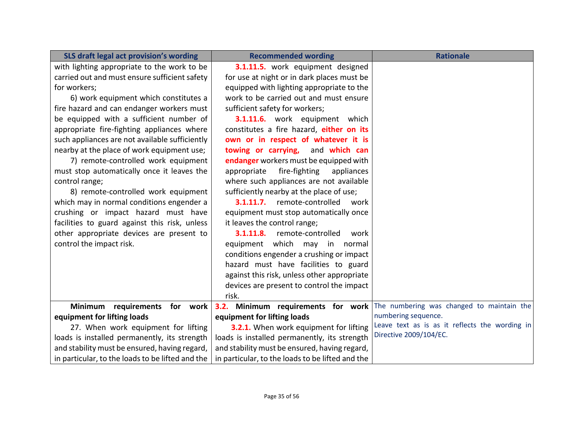| SLS draft legal act provision's wording          | <b>Recommended wording</b>                       | <b>Rationale</b>                                                             |
|--------------------------------------------------|--------------------------------------------------|------------------------------------------------------------------------------|
| with lighting appropriate to the work to be      | 3.1.11.5. work equipment designed                |                                                                              |
| carried out and must ensure sufficient safety    | for use at night or in dark places must be       |                                                                              |
| for workers;                                     | equipped with lighting appropriate to the        |                                                                              |
| 6) work equipment which constitutes a            | work to be carried out and must ensure           |                                                                              |
| fire hazard and can endanger workers must        | sufficient safety for workers;                   |                                                                              |
| be equipped with a sufficient number of          | 3.1.11.6. work equipment which                   |                                                                              |
| appropriate fire-fighting appliances where       | constitutes a fire hazard, either on its         |                                                                              |
| such appliances are not available sufficiently   | own or in respect of whatever it is              |                                                                              |
| nearby at the place of work equipment use;       | towing or carrying, and which can                |                                                                              |
| 7) remote-controlled work equipment              | endanger workers must be equipped with           |                                                                              |
| must stop automatically once it leaves the       | fire-fighting<br>appropriate<br>appliances       |                                                                              |
| control range;                                   | where such appliances are not available          |                                                                              |
| 8) remote-controlled work equipment              | sufficiently nearby at the place of use;         |                                                                              |
| which may in normal conditions engender a        | 3.1.11.7. remote-controlled<br>work              |                                                                              |
| crushing or impact hazard must have              | equipment must stop automatically once           |                                                                              |
| facilities to guard against this risk, unless    | it leaves the control range;                     |                                                                              |
| other appropriate devices are present to         | 3.1.11.8.<br>remote-controlled<br>work           |                                                                              |
| control the impact risk.                         | equipment which may in<br>normal                 |                                                                              |
|                                                  | conditions engender a crushing or impact         |                                                                              |
|                                                  | hazard must have facilities to guard             |                                                                              |
|                                                  | against this risk, unless other appropriate      |                                                                              |
|                                                  | devices are present to control the impact        |                                                                              |
|                                                  | risk.                                            |                                                                              |
| requirements for work<br>Minimum                 |                                                  | 3.2. Minimum requirements for work The numbering was changed to maintain the |
| equipment for lifting loads                      | equipment for lifting loads                      | numbering sequence.<br>Leave text as is as it reflects the wording in        |
| 27. When work equipment for lifting              | 3.2.1. When work equipment for lifting           | Directive 2009/104/EC.                                                       |
| loads is installed permanently, its strength     | loads is installed permanently, its strength     |                                                                              |
| and stability must be ensured, having regard,    | and stability must be ensured, having regard,    |                                                                              |
| in particular, to the loads to be lifted and the | in particular, to the loads to be lifted and the |                                                                              |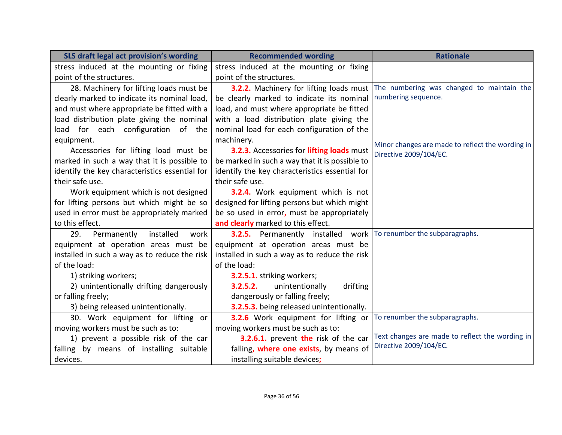| SLS draft legal act provision's wording        | <b>Recommended wording</b>                                              | <b>Rationale</b>                                 |
|------------------------------------------------|-------------------------------------------------------------------------|--------------------------------------------------|
| stress induced at the mounting or fixing       | stress induced at the mounting or fixing                                |                                                  |
| point of the structures.                       | point of the structures.                                                |                                                  |
| 28. Machinery for lifting loads must be        | 3.2.2. Machinery for lifting loads must                                 | The numbering was changed to maintain the        |
| clearly marked to indicate its nominal load,   | be clearly marked to indicate its nominal                               | numbering sequence.                              |
| and must where appropriate be fitted with a    | load, and must where appropriate be fitted                              |                                                  |
| load distribution plate giving the nominal     | with a load distribution plate giving the                               |                                                  |
| load for each configuration of the             | nominal load for each configuration of the                              |                                                  |
| equipment.                                     | machinery.                                                              | Minor changes are made to reflect the wording in |
| Accessories for lifting load must be           | 3.2.3. Accessories for lifting loads must                               | Directive 2009/104/EC.                           |
| marked in such a way that it is possible to    | be marked in such a way that it is possible to                          |                                                  |
| identify the key characteristics essential for | identify the key characteristics essential for                          |                                                  |
| their safe use.                                | their safe use.                                                         |                                                  |
| Work equipment which is not designed           | 3.2.4. Work equipment which is not                                      |                                                  |
| for lifting persons but which might be so      | designed for lifting persons but which might                            |                                                  |
| used in error must be appropriately marked     | be so used in error, must be appropriately                              |                                                  |
| to this effect.                                | and clearly marked to this effect.                                      |                                                  |
| 29.<br>Permanently<br>installed<br>work        | <b>3.2.5.</b> Permanently installed work To renumber the subparagraphs. |                                                  |
| equipment at operation areas must be           | equipment at operation areas must be                                    |                                                  |
| installed in such a way as to reduce the risk  | installed in such a way as to reduce the risk                           |                                                  |
| of the load:                                   | of the load:                                                            |                                                  |
| 1) striking workers;                           | 3.2.5.1. striking workers;                                              |                                                  |
| 2) unintentionally drifting dangerously        | 3.2.5.2.<br>unintentionally<br>drifting                                 |                                                  |
| or falling freely;                             | dangerously or falling freely;                                          |                                                  |
| 3) being released unintentionally.             | 3.2.5.3. being released unintentionally.                                |                                                  |
| 30. Work equipment for lifting or              | 3.2.6 Work equipment for lifting or                                     | To renumber the subparagraphs.                   |
| moving workers must be such as to:             | moving workers must be such as to:                                      |                                                  |
| 1) prevent a possible risk of the car          | 3.2.6.1. prevent the risk of the car                                    | Text changes are made to reflect the wording in  |
| falling by means of installing suitable        | falling, where one exists, by means of                                  | Directive 2009/104/EC.                           |
| devices.                                       | installing suitable devices;                                            |                                                  |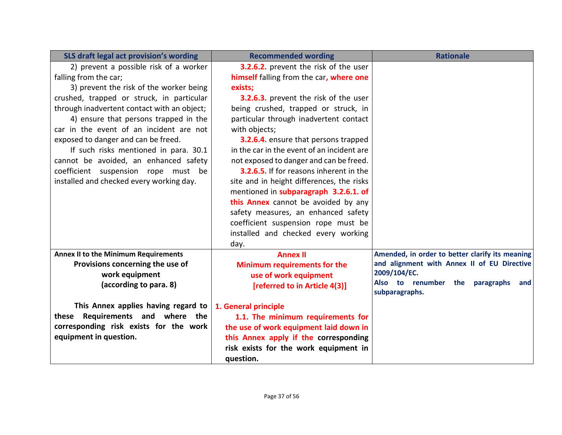| SLS draft legal act provision's wording                                         | <b>Recommended wording</b>                 | <b>Rationale</b>                                                                               |
|---------------------------------------------------------------------------------|--------------------------------------------|------------------------------------------------------------------------------------------------|
| 2) prevent a possible risk of a worker                                          | 3.2.6.2. prevent the risk of the user      |                                                                                                |
| falling from the car;                                                           | himself falling from the car, where one    |                                                                                                |
| 3) prevent the risk of the worker being                                         | exists;                                    |                                                                                                |
| crushed, trapped or struck, in particular                                       | 3.2.6.3. prevent the risk of the user      |                                                                                                |
| through inadvertent contact with an object;                                     | being crushed, trapped or struck, in       |                                                                                                |
| 4) ensure that persons trapped in the                                           | particular through inadvertent contact     |                                                                                                |
| car in the event of an incident are not                                         | with objects;                              |                                                                                                |
| exposed to danger and can be freed.                                             | 3.2.6.4. ensure that persons trapped       |                                                                                                |
| If such risks mentioned in para. 30.1                                           | in the car in the event of an incident are |                                                                                                |
| cannot be avoided, an enhanced safety                                           | not exposed to danger and can be freed.    |                                                                                                |
| coefficient suspension rope must be                                             | 3.2.6.5. If for reasons inherent in the    |                                                                                                |
| installed and checked every working day.                                        | site and in height differences, the risks  |                                                                                                |
|                                                                                 | mentioned in subparagraph 3.2.6.1. of      |                                                                                                |
|                                                                                 | this Annex cannot be avoided by any        |                                                                                                |
|                                                                                 | safety measures, an enhanced safety        |                                                                                                |
|                                                                                 | coefficient suspension rope must be        |                                                                                                |
|                                                                                 | installed and checked every working        |                                                                                                |
|                                                                                 | day.                                       |                                                                                                |
| <b>Annex II to the Minimum Requirements</b><br>Provisions concerning the use of | <b>Annex II</b>                            | Amended, in order to better clarify its meaning<br>and alignment with Annex II of EU Directive |
| work equipment                                                                  | <b>Minimum requirements for the</b>        | 2009/104/EC.                                                                                   |
| (according to para. 8)                                                          | use of work equipment                      | Also to renumber the<br>paragraphs<br>and                                                      |
|                                                                                 | [referred to in Article 4(3)]              | subparagraphs.                                                                                 |
| This Annex applies having regard to                                             | 1. General principle                       |                                                                                                |
| these Requirements and where the                                                | 1.1. The minimum requirements for          |                                                                                                |
| corresponding risk exists for the work                                          | the use of work equipment laid down in     |                                                                                                |
| equipment in question.                                                          | this Annex apply if the corresponding      |                                                                                                |
|                                                                                 | risk exists for the work equipment in      |                                                                                                |
|                                                                                 | question.                                  |                                                                                                |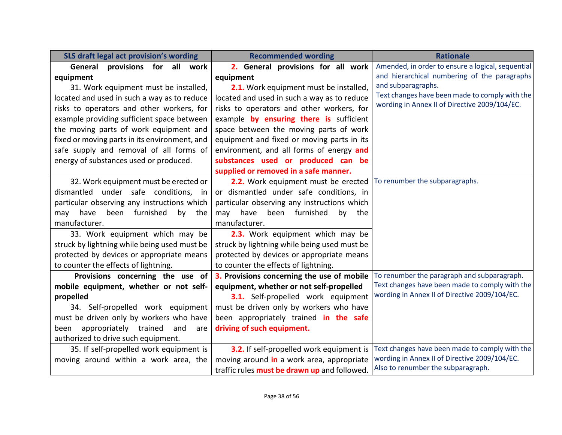| SLS draft legal act provision's wording       | <b>Recommended wording</b>                                           | <b>Rationale</b>                                  |
|-----------------------------------------------|----------------------------------------------------------------------|---------------------------------------------------|
| provisions for all work<br>General            | 2. General provisions for all work                                   | Amended, in order to ensure a logical, sequential |
| equipment                                     | equipment                                                            | and hierarchical numbering of the paragraphs      |
| 31. Work equipment must be installed,         | 2.1. Work equipment must be installed,                               | and subparagraphs.                                |
| located and used in such a way as to reduce   | located and used in such a way as to reduce                          | Text changes have been made to comply with the    |
| risks to operators and other workers, for     | risks to operators and other workers, for                            | wording in Annex II of Directive 2009/104/EC.     |
| example providing sufficient space between    | example by ensuring there is sufficient                              |                                                   |
| the moving parts of work equipment and        | space between the moving parts of work                               |                                                   |
| fixed or moving parts in its environment, and | equipment and fixed or moving parts in its                           |                                                   |
| safe supply and removal of all forms of       | environment, and all forms of energy and                             |                                                   |
| energy of substances used or produced.        | substances used or produced can be                                   |                                                   |
|                                               | supplied or removed in a safe manner.                                |                                                   |
| 32. Work equipment must be erected or         | 2.2. Work equipment must be erected   To renumber the subparagraphs. |                                                   |
| dismantled under safe conditions,<br>in       | or dismantled under safe conditions, in                              |                                                   |
| particular observing any instructions which   | particular observing any instructions which                          |                                                   |
| been furnished<br>have<br>by<br>may<br>the    | have<br>been furnished<br>by<br>may<br>the                           |                                                   |
| manufacturer.                                 | manufacturer.                                                        |                                                   |
| 33. Work equipment which may be               | 2.3. Work equipment which may be                                     |                                                   |
| struck by lightning while being used must be  | struck by lightning while being used must be                         |                                                   |
| protected by devices or appropriate means     | protected by devices or appropriate means                            |                                                   |
| to counter the effects of lightning.          | to counter the effects of lightning.                                 |                                                   |
| Provisions concerning the use of              | 3. Provisions concerning the use of mobile                           | To renumber the paragraph and subparagraph.       |
| mobile equipment, whether or not self-        | equipment, whether or not self-propelled                             | Text changes have been made to comply with the    |
| propelled                                     | 3.1. Self-propelled work equipment                                   | wording in Annex II of Directive 2009/104/EC.     |
| 34. Self-propelled work equipment             | must be driven only by workers who have                              |                                                   |
| must be driven only by workers who have       | been appropriately trained in the safe                               |                                                   |
| appropriately trained<br>and<br>been<br>are   | driving of such equipment.                                           |                                                   |
| authorized to drive such equipment.           |                                                                      |                                                   |
| 35. If self-propelled work equipment is       | 3.2. If self-propelled work equipment is                             | Text changes have been made to comply with the    |
| moving around within a work area, the         | moving around in a work area, appropriate                            | wording in Annex II of Directive 2009/104/EC.     |
|                                               | traffic rules must be drawn up and followed.                         | Also to renumber the subparagraph.                |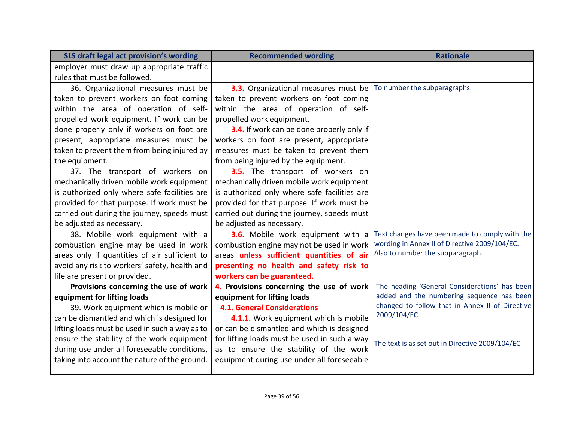| SLS draft legal act provision's wording        | <b>Recommended wording</b>                                          | <b>Rationale</b>                                |
|------------------------------------------------|---------------------------------------------------------------------|-------------------------------------------------|
| employer must draw up appropriate traffic      |                                                                     |                                                 |
| rules that must be followed.                   |                                                                     |                                                 |
| 36. Organizational measures must be            | 3.3. Organizational measures must be   To number the subparagraphs. |                                                 |
| taken to prevent workers on foot coming        | taken to prevent workers on foot coming                             |                                                 |
| within the area of operation of self-          | within the area of operation of self-                               |                                                 |
| propelled work equipment. If work can be       | propelled work equipment.                                           |                                                 |
| done properly only if workers on foot are      | 3.4. If work can be done properly only if                           |                                                 |
| present, appropriate measures must be          | workers on foot are present, appropriate                            |                                                 |
| taken to prevent them from being injured by    | measures must be taken to prevent them                              |                                                 |
| the equipment.                                 | from being injured by the equipment.                                |                                                 |
| 37. The transport of workers on                | <b>3.5.</b> The transport of workers on                             |                                                 |
| mechanically driven mobile work equipment      | mechanically driven mobile work equipment                           |                                                 |
| is authorized only where safe facilities are   | is authorized only where safe facilities are                        |                                                 |
| provided for that purpose. If work must be     | provided for that purpose. If work must be                          |                                                 |
| carried out during the journey, speeds must    | carried out during the journey, speeds must                         |                                                 |
| be adjusted as necessary.                      | be adjusted as necessary.                                           |                                                 |
| 38. Mobile work equipment with a               | 3.6. Mobile work equipment with a                                   | Text changes have been made to comply with the  |
| combustion engine may be used in work          | combustion engine may not be used in work                           | wording in Annex II of Directive 2009/104/EC.   |
| areas only if quantities of air sufficient to  | areas unless sufficient quantities of air                           | Also to number the subparagraph.                |
| avoid any risk to workers' safety, health and  | presenting no health and safety risk to                             |                                                 |
| life are present or provided.                  | workers can be guaranteed.                                          |                                                 |
| Provisions concerning the use of work          | 4. Provisions concerning the use of work                            | The heading 'General Considerations' has been   |
| equipment for lifting loads                    | equipment for lifting loads                                         | added and the numbering sequence has been       |
| 39. Work equipment which is mobile or          | <b>4.1. General Considerations</b>                                  | changed to follow that in Annex II of Directive |
| can be dismantled and which is designed for    | 4.1.1. Work equipment which is mobile                               | 2009/104/EC.                                    |
| lifting loads must be used in such a way as to | or can be dismantled and which is designed                          |                                                 |
| ensure the stability of the work equipment     | for lifting loads must be used in such a way                        | The text is as set out in Directive 2009/104/EC |
| during use under all foreseeable conditions,   | as to ensure the stability of the work                              |                                                 |
| taking into account the nature of the ground.  | equipment during use under all foreseeable                          |                                                 |
|                                                |                                                                     |                                                 |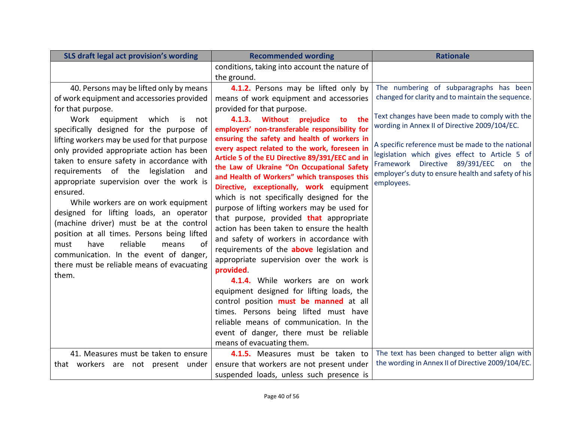| SLS draft legal act provision's wording      | <b>Recommended wording</b>                      | <b>Rationale</b>                                   |
|----------------------------------------------|-------------------------------------------------|----------------------------------------------------|
|                                              | conditions, taking into account the nature of   |                                                    |
|                                              | the ground.                                     |                                                    |
| 40. Persons may be lifted only by means      | 4.1.2. Persons may be lifted only by            | The numbering of subparagraphs has been            |
| of work equipment and accessories provided   | means of work equipment and accessories         | changed for clarity and to maintain the sequence.  |
| for that purpose.                            | provided for that purpose.                      |                                                    |
| Work<br>equipment which is<br>not            | 4.1.3. Without<br>prejudice<br>to<br>the        | Text changes have been made to comply with the     |
| specifically designed for the purpose of     | employers' non-transferable responsibility for  | wording in Annex II of Directive 2009/104/EC.      |
| lifting workers may be used for that purpose | ensuring the safety and health of workers in    | A specific reference must be made to the national  |
| only provided appropriate action has been    | every aspect related to the work, foreseen in   | legislation which gives effect to Article 5 of     |
| taken to ensure safety in accordance with    | Article 5 of the EU Directive 89/391/EEC and in | Framework Directive 89/391/EEC on the              |
| requirements of the legislation and          | the Law of Ukraine "On Occupational Safety      | employer's duty to ensure health and safety of his |
| appropriate supervision over the work is     | and Health of Workers" which transposes this    | employees.                                         |
| ensured.                                     | Directive, exceptionally, work equipment        |                                                    |
| While workers are on work equipment          | which is not specifically designed for the      |                                                    |
| designed for lifting loads, an operator      | purpose of lifting workers may be used for      |                                                    |
| (machine driver) must be at the control      | that purpose, provided that appropriate         |                                                    |
| position at all times. Persons being lifted  | action has been taken to ensure the health      |                                                    |
| reliable<br>of<br>have<br>must<br>means      | and safety of workers in accordance with        |                                                    |
| communication. In the event of danger,       | requirements of the above legislation and       |                                                    |
| there must be reliable means of evacuating   | appropriate supervision over the work is        |                                                    |
| them.                                        | provided.                                       |                                                    |
|                                              | 4.1.4. While workers are on work                |                                                    |
|                                              | equipment designed for lifting loads, the       |                                                    |
|                                              | control position must be manned at all          |                                                    |
|                                              | times. Persons being lifted must have           |                                                    |
|                                              | reliable means of communication. In the         |                                                    |
|                                              | event of danger, there must be reliable         |                                                    |
|                                              | means of evacuating them.                       |                                                    |
| 41. Measures must be taken to ensure         | 4.1.5. Measures must be taken to                | The text has been changed to better align with     |
| that workers are not present under           | ensure that workers are not present under       | the wording in Annex II of Directive 2009/104/EC.  |
|                                              | suspended loads, unless such presence is        |                                                    |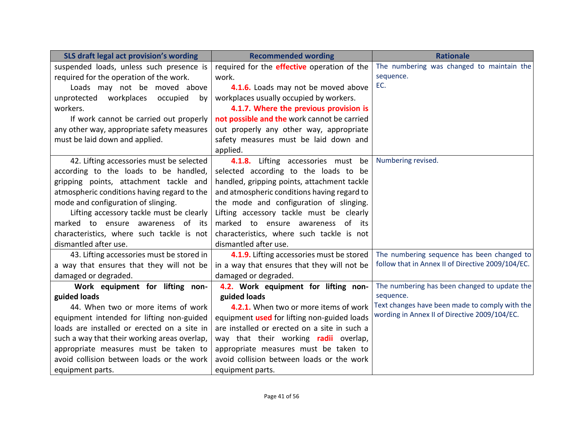| SLS draft legal act provision's wording      | <b>Recommended wording</b>                         | <b>Rationale</b>                                  |
|----------------------------------------------|----------------------------------------------------|---------------------------------------------------|
| suspended loads, unless such presence is     | required for the <b>effective</b> operation of the | The numbering was changed to maintain the         |
| required for the operation of the work.      | work.                                              | sequence.                                         |
| Loads may not be moved above                 | 4.1.6. Loads may not be moved above                | EC.                                               |
| workplaces<br>unprotected<br>occupied<br>bv  | workplaces usually occupied by workers.            |                                                   |
| workers.                                     | 4.1.7. Where the previous provision is             |                                                   |
| If work cannot be carried out properly       | not possible and the work cannot be carried        |                                                   |
| any other way, appropriate safety measures   | out properly any other way, appropriate            |                                                   |
| must be laid down and applied.               | safety measures must be laid down and              |                                                   |
|                                              | applied.                                           |                                                   |
| 42. Lifting accessories must be selected     | 4.1.8. Lifting accessories must<br>be              | Numbering revised.                                |
| according to the loads to be handled,        | selected according to the loads to be              |                                                   |
| gripping points, attachment tackle and       | handled, gripping points, attachment tackle        |                                                   |
| atmospheric conditions having regard to the  | and atmospheric conditions having regard to        |                                                   |
| mode and configuration of slinging.          | the mode and configuration of slinging.            |                                                   |
| Lifting accessory tackle must be clearly     | Lifting accessory tackle must be clearly           |                                                   |
| marked to ensure awareness of its            | marked to ensure awareness of its                  |                                                   |
| characteristics, where such tackle is not    | characteristics, where such tackle is not          |                                                   |
| dismantled after use.                        | dismantled after use.                              |                                                   |
| 43. Lifting accessories must be stored in    | 4.1.9. Lifting accessories must be stored          | The numbering sequence has been changed to        |
| a way that ensures that they will not be     | in a way that ensures that they will not be        | follow that in Annex II of Directive 2009/104/EC. |
| damaged or degraded.                         | damaged or degraded.                               |                                                   |
| Work equipment for lifting non-              | 4.2. Work equipment for lifting non-               | The numbering has been changed to update the      |
| guided loads                                 | guided loads                                       | sequence.                                         |
| 44. When two or more items of work           | 4.2.1. When two or more items of work              | Text changes have been made to comply with the    |
| equipment intended for lifting non-guided    | equipment used for lifting non-guided loads        | wording in Annex II of Directive 2009/104/EC.     |
| loads are installed or erected on a site in  | are installed or erected on a site in such a       |                                                   |
| such a way that their working areas overlap, | way that their working <b>radii</b> overlap,       |                                                   |
| appropriate measures must be taken to        | appropriate measures must be taken to              |                                                   |
| avoid collision between loads or the work    | avoid collision between loads or the work          |                                                   |
| equipment parts.                             | equipment parts.                                   |                                                   |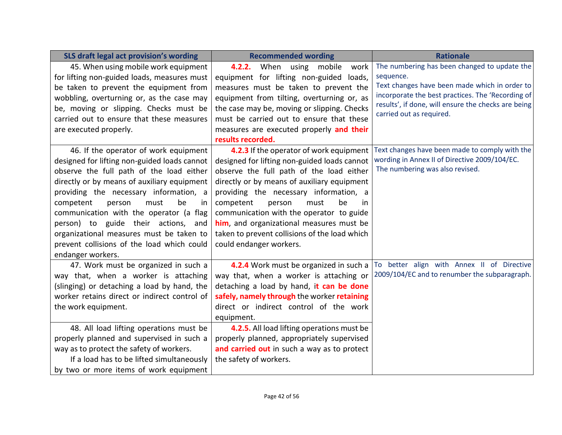| SLS draft legal act provision's wording      | <b>Recommended wording</b>                    | <b>Rationale</b>                                                                |
|----------------------------------------------|-----------------------------------------------|---------------------------------------------------------------------------------|
| 45. When using mobile work equipment         | 4.2.2. When using mobile<br>work              | The numbering has been changed to update the                                    |
| for lifting non-guided loads, measures must  | equipment for lifting non-guided loads,       | sequence.                                                                       |
| be taken to prevent the equipment from       | measures must be taken to prevent the         | Text changes have been made which in order to                                   |
| wobbling, overturning or, as the case may    | equipment from tilting, overturning or, as    | incorporate the best practices. The 'Recording of                               |
| be, moving or slipping. Checks must be       | the case may be, moving or slipping. Checks   | results', if done, will ensure the checks are being<br>carried out as required. |
| carried out to ensure that these measures    | must be carried out to ensure that these      |                                                                                 |
| are executed properly.                       | measures are executed properly and their      |                                                                                 |
|                                              | results recorded.                             |                                                                                 |
| 46. If the operator of work equipment        | 4.2.3 If the operator of work equipment       | Text changes have been made to comply with the                                  |
| designed for lifting non-guided loads cannot | designed for lifting non-guided loads cannot  | wording in Annex II of Directive 2009/104/EC.                                   |
| observe the full path of the load either     | observe the full path of the load either      | The numbering was also revised.                                                 |
| directly or by means of auxiliary equipment  | directly or by means of auxiliary equipment   |                                                                                 |
| providing the necessary information, a       | providing the necessary information, a        |                                                                                 |
| competent<br>must<br>be<br>person<br>in      | competent<br>be<br>person<br>must<br>in       |                                                                                 |
| communication with the operator (a flag      | communication with the operator to guide      |                                                                                 |
| person) to guide their actions, and          | him, and organizational measures must be      |                                                                                 |
| organizational measures must be taken to     | taken to prevent collisions of the load which |                                                                                 |
| prevent collisions of the load which could   | could endanger workers.                       |                                                                                 |
| endanger workers.                            |                                               |                                                                                 |
| 47. Work must be organized in such a         | 4.2.4 Work must be organized in such a        | To better align with Annex II of Directive                                      |
| way that, when a worker is attaching         | way that, when a worker is attaching or       | 2009/104/EC and to renumber the subparagraph.                                   |
| (slinging) or detaching a load by hand, the  | detaching a load by hand, it can be done      |                                                                                 |
| worker retains direct or indirect control of | safely, namely through the worker retaining   |                                                                                 |
| the work equipment.                          | direct or indirect control of the work        |                                                                                 |
|                                              | equipment.                                    |                                                                                 |
| 48. All load lifting operations must be      | 4.2.5. All load lifting operations must be    |                                                                                 |
| properly planned and supervised in such a    | properly planned, appropriately supervised    |                                                                                 |
| way as to protect the safety of workers.     | and carried out in such a way as to protect   |                                                                                 |
| If a load has to be lifted simultaneously    | the safety of workers.                        |                                                                                 |
| by two or more items of work equipment       |                                               |                                                                                 |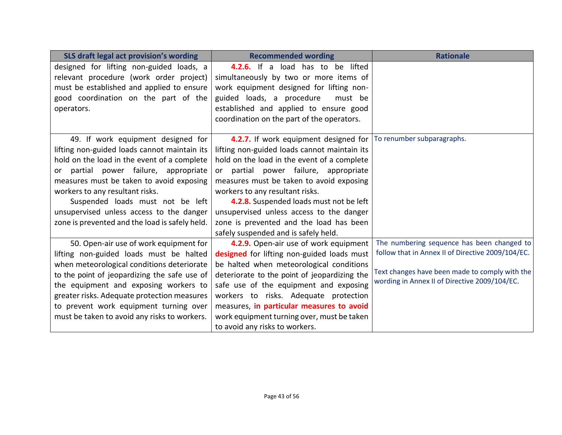| SLS draft legal act provision's wording        | <b>Recommended wording</b>                                        | <b>Rationale</b>                                                                                |
|------------------------------------------------|-------------------------------------------------------------------|-------------------------------------------------------------------------------------------------|
| designed for lifting non-guided loads, a       | 4.2.6. If a load has to be lifted                                 |                                                                                                 |
| relevant procedure (work order project)        | simultaneously by two or more items of                            |                                                                                                 |
| must be established and applied to ensure      | work equipment designed for lifting non-                          |                                                                                                 |
| good coordination on the part of the           | guided loads, a procedure<br>must be                              |                                                                                                 |
| operators.                                     | established and applied to ensure good                            |                                                                                                 |
|                                                | coordination on the part of the operators.                        |                                                                                                 |
| 49. If work equipment designed for             | 4.2.7. If work equipment designed for  To renumber subparagraphs. |                                                                                                 |
| lifting non-guided loads cannot maintain its   | lifting non-guided loads cannot maintain its                      |                                                                                                 |
| hold on the load in the event of a complete    | hold on the load in the event of a complete                       |                                                                                                 |
| or partial power failure, appropriate          | or partial power failure, appropriate                             |                                                                                                 |
| measures must be taken to avoid exposing       | measures must be taken to avoid exposing                          |                                                                                                 |
| workers to any resultant risks.                | workers to any resultant risks.                                   |                                                                                                 |
| Suspended loads must not be left               | 4.2.8. Suspended loads must not be left                           |                                                                                                 |
| unsupervised unless access to the danger       | unsupervised unless access to the danger                          |                                                                                                 |
| zone is prevented and the load is safely held. | zone is prevented and the load has been                           |                                                                                                 |
|                                                | safely suspended and is safely held.                              |                                                                                                 |
| 50. Open-air use of work equipment for         | 4.2.9. Open-air use of work equipment                             | The numbering sequence has been changed to                                                      |
| lifting non-guided loads must be halted        | designed for lifting non-guided loads must                        | follow that in Annex II of Directive 2009/104/EC.                                               |
| when meteorological conditions deteriorate     | be halted when meteorological conditions                          |                                                                                                 |
| to the point of jeopardizing the safe use of   | deteriorate to the point of jeopardizing the                      | Text changes have been made to comply with the<br>wording in Annex II of Directive 2009/104/EC. |
| the equipment and exposing workers to          | safe use of the equipment and exposing                            |                                                                                                 |
| greater risks. Adequate protection measures    | workers to risks. Adequate protection                             |                                                                                                 |
| to prevent work equipment turning over         | measures, in particular measures to avoid                         |                                                                                                 |
| must be taken to avoid any risks to workers.   | work equipment turning over, must be taken                        |                                                                                                 |
|                                                | to avoid any risks to workers.                                    |                                                                                                 |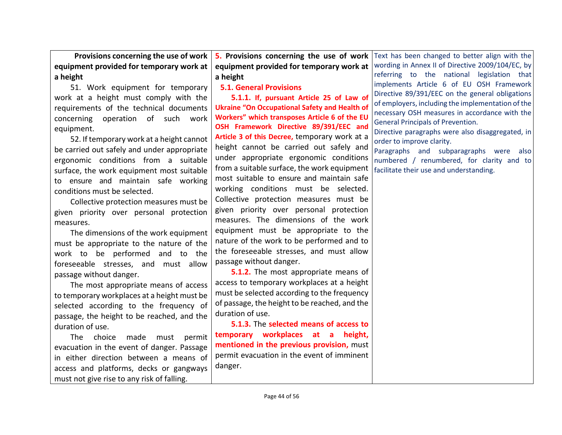**Provisions concerning the use of work equipment provided for temporary work at a height**

51. Work equipment for temporary work at a height must comply with the requirements of the technical documents concerning operation of such work equipment.

52. If temporary work at a height cannot be carried out safely and under appropriate ergonomic conditions from a suitable surface, the work equipment most suitable to ensure and maintain safe working conditions must be selected.

Collective protection measures must be given priority over personal protection measures.

The dimensions of the work equipment must be appropriate to the nature of the work to be performed and to the foreseeable stresses, and must allow passage without danger.

The most appropriate means of access to temporary workplaces at a height must be selected according to the frequency of passage, the height to be reached, and the duration of use.

The choice made must permit evacuation in the event of danger. Passage in either direction between a means of access and platforms, decks or gangways must not give rise to any risk of falling.

**5. Provisions concerning the use of work equipment provided for temporary work at a height**

**5.1. General Provisions**

**5.1.1. If, pursuant Article 25 of Law of Ukraine "On Occupational Safety and Health of Workers" which transposes Article 6 of the EU OSH Framework Directive 89/391/EEC and Article 3 of this Decree,** temporary work at a height cannot be carried out safely and under appropriate ergonomic conditions from a suitable surface, the work equipment most suitable to ensure and maintain safe working conditions must be selected. Collective protection measures must be given priority over personal protection measures. The dimensions of the work equipment must be appropriate to the nature of the work to be performed and to the foreseeable stresses, and must allow passage without danger.

**5.1.2.** The most appropriate means of access to temporary workplaces at a height must be selected according to the frequency of passage, the height to be reached, and the duration of use.

**5.1.3.** The **selected means of access to temporary workplaces at a height, mentioned in the previous provision,** must permit evacuation in the event of imminent danger.

Text has been changed to better align with the wording in Annex II of Directive 2009/104/EC, by referring to the national legislation that implements Article 6 of EU OSH Framework Directive 89/391/EEC on the general obligations of employers, including the implementation of the necessary OSH measures in accordance with the General Principals of Prevention.

Directive paragraphs were also disaggregated, in order to improve clarity.

Paragraphs and subparagraphs were also numbered / renumbered, for clarity and to facilitate their use and understanding.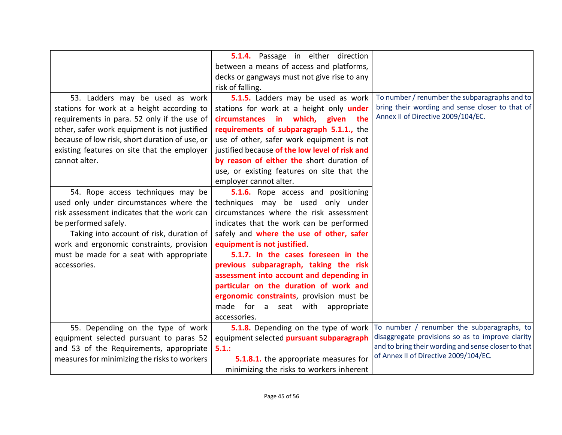|                                                | 5.1.4. Passage in either direction             |                                                     |
|------------------------------------------------|------------------------------------------------|-----------------------------------------------------|
|                                                | between a means of access and platforms,       |                                                     |
|                                                | decks or gangways must not give rise to any    |                                                     |
|                                                | risk of falling.                               |                                                     |
| 53. Ladders may be used as work                | 5.1.5. Ladders may be used as work             | To number / renumber the subparagraphs and to       |
|                                                |                                                | bring their wording and sense closer to that of     |
| stations for work at a height according to     | stations for work at a height only under       | Annex II of Directive 2009/104/EC.                  |
| requirements in para. 52 only if the use of    | circumstances in which, given<br>the           |                                                     |
| other, safer work equipment is not justified   | requirements of subparagraph 5.1.1., the       |                                                     |
| because of low risk, short duration of use, or | use of other, safer work equipment is not      |                                                     |
| existing features on site that the employer    | justified because of the low level of risk and |                                                     |
| cannot alter.                                  | by reason of either the short duration of      |                                                     |
|                                                | use, or existing features on site that the     |                                                     |
|                                                | employer cannot alter.                         |                                                     |
| 54. Rope access techniques may be              | 5.1.6. Rope access and positioning             |                                                     |
| used only under circumstances where the        | techniques may be used only under              |                                                     |
| risk assessment indicates that the work can    | circumstances where the risk assessment        |                                                     |
| be performed safely.                           | indicates that the work can be performed       |                                                     |
| Taking into account of risk, duration of       | safely and where the use of other, safer       |                                                     |
| work and ergonomic constraints, provision      | equipment is not justified.                    |                                                     |
| must be made for a seat with appropriate       | 5.1.7. In the cases foreseen in the            |                                                     |
| accessories.                                   | previous subparagraph, taking the risk         |                                                     |
|                                                | assessment into account and depending in       |                                                     |
|                                                | particular on the duration of work and         |                                                     |
|                                                | ergonomic constraints, provision must be       |                                                     |
|                                                | made for a seat with<br>appropriate            |                                                     |
|                                                | accessories.                                   |                                                     |
| 55. Depending on the type of work              | 5.1.8. Depending on the type of work           | To number / renumber the subparagraphs, to          |
| equipment selected pursuant to paras 52        | equipment selected pursuant subparagraph       | disaggregate provisions so as to improve clarity    |
| and 53 of the Requirements, appropriate        | 5.1.:                                          | and to bring their wording and sense closer to that |
| measures for minimizing the risks to workers   | 5.1.8.1. the appropriate measures for          | of Annex II of Directive 2009/104/EC.               |
|                                                | minimizing the risks to workers inherent       |                                                     |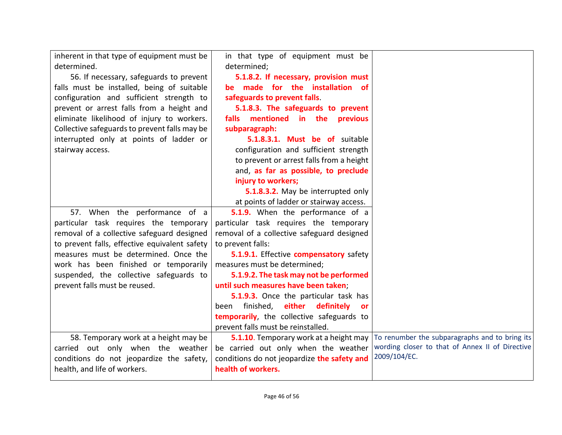| inherent in that type of equipment must be<br>determined.<br>56. If necessary, safeguards to prevent<br>falls must be installed, being of suitable<br>configuration and sufficient strength to<br>prevent or arrest falls from a height and<br>eliminate likelihood of injury to workers.<br>Collective safeguards to prevent falls may be<br>interrupted only at points of ladder or<br>stairway access. | in that type of equipment must be<br>determined;<br>5.1.8.2. If necessary, provision must<br>be made for the installation of<br>safeguards to prevent falls.<br>5.1.8.3. The safeguards to prevent<br>mentioned in the previous<br>falls<br>subparagraph:<br>5.1.8.3.1. Must be of suitable<br>configuration and sufficient strength<br>to prevent or arrest falls from a height<br>and, as far as possible, to preclude<br>injury to workers;<br>5.1.8.3.2. May be interrupted only      |                                                                                                                   |
|-----------------------------------------------------------------------------------------------------------------------------------------------------------------------------------------------------------------------------------------------------------------------------------------------------------------------------------------------------------------------------------------------------------|-------------------------------------------------------------------------------------------------------------------------------------------------------------------------------------------------------------------------------------------------------------------------------------------------------------------------------------------------------------------------------------------------------------------------------------------------------------------------------------------|-------------------------------------------------------------------------------------------------------------------|
|                                                                                                                                                                                                                                                                                                                                                                                                           | at points of ladder or stairway access.                                                                                                                                                                                                                                                                                                                                                                                                                                                   |                                                                                                                   |
| 57. When the performance of a<br>particular task requires the temporary<br>removal of a collective safeguard designed<br>to prevent falls, effective equivalent safety<br>measures must be determined. Once the<br>work has been finished or temporarily<br>suspended, the collective safeguards to<br>prevent falls must be reused.                                                                      | 5.1.9. When the performance of a<br>particular task requires the temporary<br>removal of a collective safeguard designed<br>to prevent falls:<br>5.1.9.1. Effective compensatory safety<br>measures must be determined;<br>5.1.9.2. The task may not be performed<br>until such measures have been taken;<br>5.1.9.3. Once the particular task has<br>finished, either definitely<br>been<br><b>or</b><br>temporarily, the collective safeguards to<br>prevent falls must be reinstalled. |                                                                                                                   |
| 58. Temporary work at a height may be<br>carried out only when the weather<br>conditions do not jeopardize the safety,<br>health, and life of workers.                                                                                                                                                                                                                                                    | 5.1.10. Temporary work at a height may<br>be carried out only when the weather<br>conditions do not jeopardize the safety and<br>health of workers.                                                                                                                                                                                                                                                                                                                                       | To renumber the subparagraphs and to bring its<br>wording closer to that of Annex II of Directive<br>2009/104/EC. |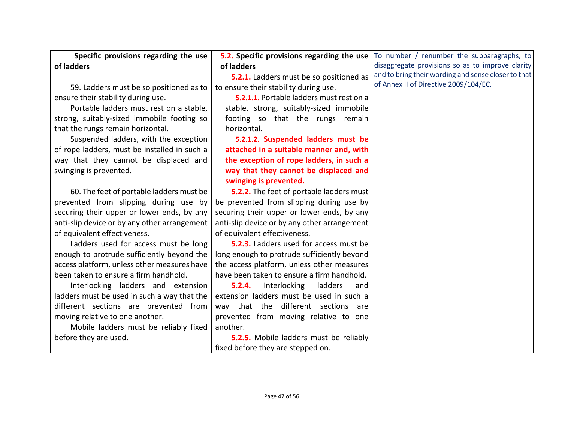| Specific provisions regarding the use        | 5.2. Specific provisions regarding the use   | To number / renumber the subparagraphs, to          |
|----------------------------------------------|----------------------------------------------|-----------------------------------------------------|
| of ladders                                   | of ladders                                   | disaggregate provisions so as to improve clarity    |
|                                              | 5.2.1. Ladders must be so positioned as      | and to bring their wording and sense closer to that |
| 59. Ladders must be so positioned as to      | to ensure their stability during use.        | of Annex II of Directive 2009/104/EC.               |
| ensure their stability during use.           | 5.2.1.1. Portable ladders must rest on a     |                                                     |
| Portable ladders must rest on a stable,      | stable, strong, suitably-sized immobile      |                                                     |
| strong, suitably-sized immobile footing so   | footing so that the rungs remain             |                                                     |
| that the rungs remain horizontal.            | horizontal.                                  |                                                     |
| Suspended ladders, with the exception        | 5.2.1.2. Suspended ladders must be           |                                                     |
| of rope ladders, must be installed in such a | attached in a suitable manner and, with      |                                                     |
| way that they cannot be displaced and        | the exception of rope ladders, in such a     |                                                     |
| swinging is prevented.                       | way that they cannot be displaced and        |                                                     |
|                                              | swinging is prevented.                       |                                                     |
| 60. The feet of portable ladders must be     | 5.2.2. The feet of portable ladders must     |                                                     |
| prevented from slipping during use by        | be prevented from slipping during use by     |                                                     |
| securing their upper or lower ends, by any   | securing their upper or lower ends, by any   |                                                     |
| anti-slip device or by any other arrangement | anti-slip device or by any other arrangement |                                                     |
| of equivalent effectiveness.                 | of equivalent effectiveness.                 |                                                     |
| Ladders used for access must be long         | 5.2.3. Ladders used for access must be       |                                                     |
| enough to protrude sufficiently beyond the   | long enough to protrude sufficiently beyond  |                                                     |
| access platform, unless other measures have  | the access platform, unless other measures   |                                                     |
| been taken to ensure a firm handhold.        | have been taken to ensure a firm handhold.   |                                                     |
| Interlocking ladders and extension           | 5.2.4.<br>Interlocking<br>ladders<br>and     |                                                     |
| ladders must be used in such a way that the  | extension ladders must be used in such a     |                                                     |
| different sections are prevented from        | way that the different sections are          |                                                     |
| moving relative to one another.              | prevented from moving relative to one        |                                                     |
| Mobile ladders must be reliably fixed        | another.                                     |                                                     |
| before they are used.                        | 5.2.5. Mobile ladders must be reliably       |                                                     |
|                                              | fixed before they are stepped on.            |                                                     |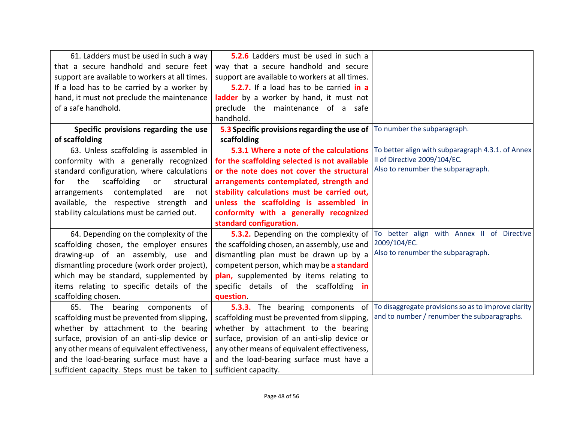| 61. Ladders must be used in such a way         | 5.2.6 Ladders must be used in such a                                       |                                                     |
|------------------------------------------------|----------------------------------------------------------------------------|-----------------------------------------------------|
| that a secure handhold and secure feet         | way that a secure handhold and secure                                      |                                                     |
| support are available to workers at all times. | support are available to workers at all times.                             |                                                     |
| If a load has to be carried by a worker by     | 5.2.7. If a load has to be carried in a                                    |                                                     |
| hand, it must not preclude the maintenance     | ladder by a worker by hand, it must not                                    |                                                     |
| of a safe handhold.                            | preclude the maintenance of a safe                                         |                                                     |
|                                                | handhold.                                                                  |                                                     |
| Specific provisions regarding the use          | 5.3 Specific provisions regarding the use of   To number the subparagraph. |                                                     |
| of scaffolding                                 | scaffolding                                                                |                                                     |
| 63. Unless scaffolding is assembled in         | 5.3.1 Where a note of the calculations                                     | To better align with subparagraph 4.3.1. of Annex   |
| conformity with a generally recognized         | for the scaffolding selected is not available                              | II of Directive 2009/104/EC.                        |
| standard configuration, where calculations     | or the note does not cover the structural                                  | Also to renumber the subparagraph.                  |
| the<br>scaffolding<br>structural<br>for<br>or  | arrangements contemplated, strength and                                    |                                                     |
| arrangements contemplated<br>are<br>not        | stability calculations must be carried out,                                |                                                     |
| available, the respective strength<br>and      | unless the scaffolding is assembled in                                     |                                                     |
| stability calculations must be carried out.    | conformity with a generally recognized                                     |                                                     |
|                                                | standard configuration.                                                    |                                                     |
| 64. Depending on the complexity of the         | 5.3.2. Depending on the complexity of                                      | To better align with Annex II of Directive          |
| scaffolding chosen, the employer ensures       | the scaffolding chosen, an assembly, use and                               | 2009/104/EC.                                        |
| drawing-up of an assembly, use and             | dismantling plan must be drawn up by a                                     | Also to renumber the subparagraph.                  |
| dismantling procedure (work order project),    | competent person, which may be a standard                                  |                                                     |
| which may be standard, supplemented by         | plan, supplemented by items relating to                                    |                                                     |
| items relating to specific details of the      | specific details of the scaffolding<br>- in                                |                                                     |
| scaffolding chosen.                            | question.                                                                  |                                                     |
| 65. The bearing components of                  | 5.3.3. The bearing components of                                           | To disaggregate provisions so as to improve clarity |
| scaffolding must be prevented from slipping,   | scaffolding must be prevented from slipping,                               | and to number / renumber the subparagraphs.         |
| whether by attachment to the bearing           | whether by attachment to the bearing                                       |                                                     |
| surface, provision of an anti-slip device or   | surface, provision of an anti-slip device or                               |                                                     |
| any other means of equivalent effectiveness,   | any other means of equivalent effectiveness,                               |                                                     |
| and the load-bearing surface must have a       | and the load-bearing surface must have a                                   |                                                     |
| sufficient capacity. Steps must be taken to    | sufficient capacity.                                                       |                                                     |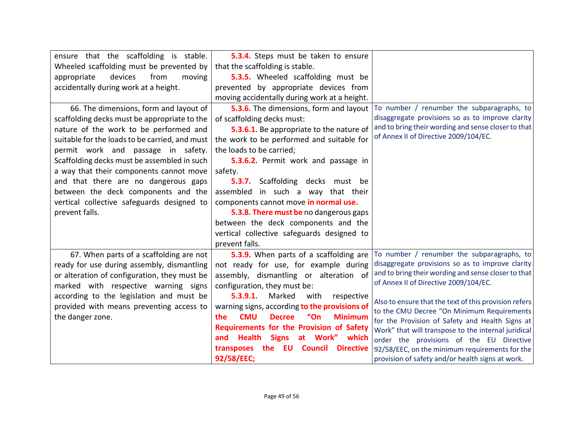| ensure that the scaffolding is stable.         | 5.3.4. Steps must be taken to ensure                         |                                                       |
|------------------------------------------------|--------------------------------------------------------------|-------------------------------------------------------|
| Wheeled scaffolding must be prevented by       | that the scaffolding is stable.                              |                                                       |
| devices<br>from<br>appropriate<br>moving       | 5.3.5. Wheeled scaffolding must be                           |                                                       |
| accidentally during work at a height.          | prevented by appropriate devices from                        |                                                       |
|                                                | moving accidentally during work at a height.                 |                                                       |
| 66. The dimensions, form and layout of         | 5.3.6. The dimensions, form and layout                       | To number / renumber the subparagraphs, to            |
| scaffolding decks must be appropriate to the   | of scaffolding decks must:                                   | disaggregate provisions so as to improve clarity      |
| nature of the work to be performed and         | 5.3.6.1. Be appropriate to the nature of                     | and to bring their wording and sense closer to that   |
| suitable for the loads to be carried, and must | the work to be performed and suitable for                    | of Annex II of Directive 2009/104/EC.                 |
| permit work and passage in safety.             | the loads to be carried;                                     |                                                       |
| Scaffolding decks must be assembled in such    | 5.3.6.2. Permit work and passage in                          |                                                       |
| a way that their components cannot move        | safety.                                                      |                                                       |
| and that there are no dangerous gaps           | <b>5.3.7.</b> Scaffolding decks must be                      |                                                       |
| between the deck components and the            | assembled in such a way that their                           |                                                       |
| vertical collective safeguards designed to     | components cannot move in normal use.                        |                                                       |
| prevent falls.                                 | 5.3.8. There must be no dangerous gaps                       |                                                       |
|                                                | between the deck components and the                          |                                                       |
|                                                | vertical collective safeguards designed to                   |                                                       |
|                                                | prevent falls.                                               |                                                       |
| 67. When parts of a scaffolding are not        | 5.3.9. When parts of a scaffolding are                       | To number / renumber the subparagraphs, to            |
| ready for use during assembly, dismantling     | not ready for use, for example during                        | disaggregate provisions so as to improve clarity      |
| or alteration of configuration, they must be   | assembly, dismantling or alteration of                       | and to bring their wording and sense closer to that   |
| marked with respective warning signs           | configuration, they must be:                                 | of Annex II of Directive 2009/104/EC.                 |
| according to the legislation and must be       | Marked<br>5.3.9.1.<br>with<br>respective                     | Also to ensure that the text of this provision refers |
| provided with means preventing access to       | warning signs, according to the provisions of                | to the CMU Decree "On Minimum Requirements            |
| the danger zone.                               | <b>CMU</b><br>"On<br><b>Decree</b><br><b>Minimum</b><br>the. | for the Provision of Safety and Health Signs at       |
|                                                | <b>Requirements for the Provision of Safety</b>              | Work" that will transpose to the internal juridical   |
|                                                | <b>Signs</b><br>and Health<br>at Work" which                 | order the provisions of the EU Directive              |
|                                                | <b>Directive</b><br><b>EU Council</b><br>transposes<br>the   | 92/58/EEC, on the minimum requirements for the        |
|                                                | 92/58/EEC;                                                   | provision of safety and/or health signs at work.      |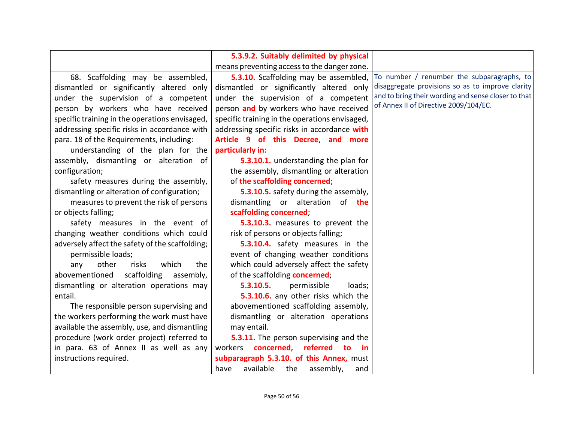|                                                 | 5.3.9.2. Suitably delimited by physical        |                                                     |
|-------------------------------------------------|------------------------------------------------|-----------------------------------------------------|
|                                                 |                                                |                                                     |
|                                                 | means preventing access to the danger zone.    |                                                     |
| 68. Scaffolding may be assembled,               | 5.3.10. Scaffolding may be assembled,          | To number / renumber the subparagraphs, to          |
| dismantled or significantly altered only        | dismantled or significantly altered only       | disaggregate provisions so as to improve clarity    |
| under the supervision of a competent            | under the supervision of a competent           | and to bring their wording and sense closer to that |
| person by workers who have received             | person and by workers who have received        | of Annex II of Directive 2009/104/EC.               |
| specific training in the operations envisaged,  | specific training in the operations envisaged, |                                                     |
| addressing specific risks in accordance with    | addressing specific risks in accordance with   |                                                     |
| para. 18 of the Requirements, including:        | Article 9 of this Decree, and more             |                                                     |
| understanding of the plan for the               | particularly in:                               |                                                     |
| assembly, dismantling or alteration of          | 5.3.10.1. understanding the plan for           |                                                     |
| configuration;                                  | the assembly, dismantling or alteration        |                                                     |
| safety measures during the assembly,            | of the scaffolding concerned;                  |                                                     |
| dismantling or alteration of configuration;     | 5.3.10.5. safety during the assembly,          |                                                     |
| measures to prevent the risk of persons         | dismantling or alteration of the               |                                                     |
| or objects falling;                             | scaffolding concerned;                         |                                                     |
| safety measures in the event of                 | 5.3.10.3. measures to prevent the              |                                                     |
| changing weather conditions which could         | risk of persons or objects falling;            |                                                     |
| adversely affect the safety of the scaffolding; | 5.3.10.4. safety measures in the               |                                                     |
| permissible loads;                              | event of changing weather conditions           |                                                     |
| other<br>which<br>risks<br>any<br>the           | which could adversely affect the safety        |                                                     |
| scaffolding<br>abovementioned<br>assembly,      | of the scaffolding concerned;                  |                                                     |
| dismantling or alteration operations may        | 5.3.10.5.<br>permissible<br>loads;             |                                                     |
| entail.                                         | 5.3.10.6. any other risks which the            |                                                     |
| The responsible person supervising and          | abovementioned scaffolding assembly,           |                                                     |
| the workers performing the work must have       | dismantling or alteration operations           |                                                     |
| available the assembly, use, and dismantling    | may entail.                                    |                                                     |
| procedure (work order project) referred to      | 5.3.11. The person supervising and the         |                                                     |
| in para. 63 of Annex II as well as any          | concerned, referred to<br>workers<br>- in      |                                                     |
| instructions required.                          | subparagraph 5.3.10. of this Annex, must       |                                                     |
|                                                 | available<br>the<br>assembly,<br>have<br>and   |                                                     |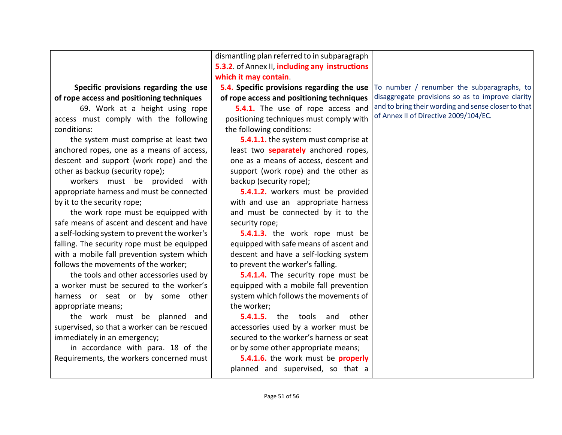|                                               | dismantling plan referred to in subparagraph   |                                                     |
|-----------------------------------------------|------------------------------------------------|-----------------------------------------------------|
|                                               | 5.3.2. of Annex II, including any instructions |                                                     |
|                                               | which it may contain.                          |                                                     |
| Specific provisions regarding the use         | 5.4. Specific provisions regarding the use     | To number / renumber the subparagraphs, to          |
| of rope access and positioning techniques     | of rope access and positioning techniques      | disaggregate provisions so as to improve clarity    |
| 69. Work at a height using rope               | 5.4.1. The use of rope access and              | and to bring their wording and sense closer to that |
| access must comply with the following         | positioning techniques must comply with        | of Annex II of Directive 2009/104/EC.               |
| conditions:                                   | the following conditions:                      |                                                     |
| the system must comprise at least two         | 5.4.1.1. the system must comprise at           |                                                     |
| anchored ropes, one as a means of access,     | least two <b>separately</b> anchored ropes,    |                                                     |
| descent and support (work rope) and the       | one as a means of access, descent and          |                                                     |
| other as backup (security rope);              | support (work rope) and the other as           |                                                     |
| workers must be provided with                 | backup (security rope);                        |                                                     |
| appropriate harness and must be connected     | 5.4.1.2. workers must be provided              |                                                     |
| by it to the security rope;                   | with and use an appropriate harness            |                                                     |
| the work rope must be equipped with           | and must be connected by it to the             |                                                     |
| safe means of ascent and descent and have     | security rope;                                 |                                                     |
| a self-locking system to prevent the worker's | 5.4.1.3. the work rope must be                 |                                                     |
| falling. The security rope must be equipped   | equipped with safe means of ascent and         |                                                     |
| with a mobile fall prevention system which    | descent and have a self-locking system         |                                                     |
| follows the movements of the worker;          | to prevent the worker's falling.               |                                                     |
| the tools and other accessories used by       | 5.4.1.4. The security rope must be             |                                                     |
| a worker must be secured to the worker's      | equipped with a mobile fall prevention         |                                                     |
| harness or seat or by some other              | system which follows the movements of          |                                                     |
| appropriate means;                            | the worker;                                    |                                                     |
| the work must be planned and                  | <b>5.4.1.5.</b> the tools and other            |                                                     |
| supervised, so that a worker can be rescued   | accessories used by a worker must be           |                                                     |
| immediately in an emergency;                  | secured to the worker's harness or seat        |                                                     |
| in accordance with para. 18 of the            | or by some other appropriate means;            |                                                     |
| Requirements, the workers concerned must      | 5.4.1.6. the work must be properly             |                                                     |
|                                               | planned and supervised, so that a              |                                                     |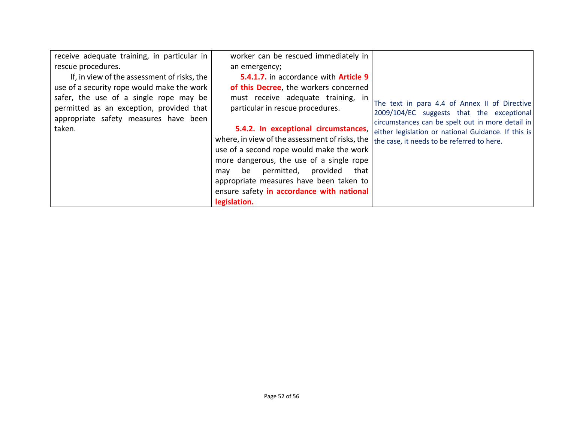| receive adequate training, in particular in | worker can be rescued immediately in           |                                                     |
|---------------------------------------------|------------------------------------------------|-----------------------------------------------------|
| rescue procedures.                          | an emergency;                                  |                                                     |
| If, in view of the assessment of risks, the | 5.4.1.7. in accordance with Article 9          |                                                     |
| use of a security rope would make the work  | of this Decree, the workers concerned          |                                                     |
| safer, the use of a single rope may be      | must receive adequate training, in             | The text in para 4.4 of Annex II of Directive       |
| permitted as an exception, provided that    | particular in rescue procedures.               | 2009/104/EC suggests that the exceptional           |
| appropriate safety measures have been       |                                                | circumstances can be spelt out in more detail in    |
| taken.                                      | 5.4.2. In exceptional circumstances,           | either legislation or national Guidance. If this is |
|                                             | where, in view of the assessment of risks, the | the case, it needs to be referred to here.          |
|                                             | use of a second rope would make the work       |                                                     |
|                                             | more dangerous, the use of a single rope       |                                                     |
|                                             | be permitted, provided<br>that<br>may          |                                                     |
|                                             | appropriate measures have been taken to        |                                                     |
|                                             | ensure safety in accordance with national      |                                                     |
|                                             | legislation.                                   |                                                     |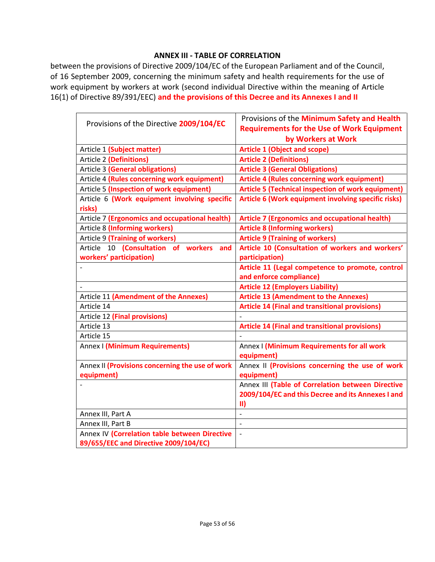#### **ANNEX III - TABLE OF CORRELATION**

between the provisions of Directive 2009/104/EC of the European Parliament and of the Council, of 16 September 2009, concerning the minimum safety and health requirements for the use of work equipment by workers at work (second individual Directive within the meaning of Article 16(1) of Directive 89/391/EEC) **and the provisions of this Decree and its Annexes I and II**

|                                                 | Provisions of the Minimum Safety and Health               |
|-------------------------------------------------|-----------------------------------------------------------|
| Provisions of the Directive 2009/104/EC         | <b>Requirements for the Use of Work Equipment</b>         |
|                                                 | by Workers at Work                                        |
| Article 1 (Subject matter)                      | <b>Article 1 (Object and scope)</b>                       |
| Article 2 (Definitions)                         | <b>Article 2 (Definitions)</b>                            |
| <b>Article 3 (General obligations)</b>          | <b>Article 3 (General Obligations)</b>                    |
| Article 4 (Rules concerning work equipment)     | <b>Article 4 (Rules concerning work equipment)</b>        |
| Article 5 (Inspection of work equipment)        | <b>Article 5 (Technical inspection of work equipment)</b> |
| Article 6 (Work equipment involving specific    | Article 6 (Work equipment involving specific risks)       |
| risks)                                          |                                                           |
| Article 7 (Ergonomics and occupational health)  | <b>Article 7 (Ergonomics and occupational health)</b>     |
| Article 8 (Informing workers)                   | <b>Article 8 (Informing workers)</b>                      |
| Article 9 (Training of workers)                 | <b>Article 9 (Training of workers)</b>                    |
| Article 10 (Consultation of workers<br>and      | Article 10 (Consultation of workers and workers'          |
| workers' participation)                         | participation)                                            |
|                                                 | Article 11 (Legal competence to promote, control          |
|                                                 | and enforce compliance)                                   |
|                                                 | <b>Article 12 (Employers Liability)</b>                   |
| Article 11 (Amendment of the Annexes)           | <b>Article 13 (Amendment to the Annexes)</b>              |
| Article 14                                      | <b>Article 14 (Final and transitional provisions)</b>     |
| Article 12 (Final provisions)                   |                                                           |
| Article 13                                      | <b>Article 14 (Final and transitional provisions)</b>     |
| Article 15                                      |                                                           |
| Annex I (Minimum Requirements)                  | Annex I (Minimum Requirements for all work<br>equipment)  |
| Annex II (Provisions concerning the use of work | Annex II (Provisions concerning the use of work           |
| equipment)                                      | equipment)                                                |
|                                                 | Annex III (Table of Correlation between Directive         |
|                                                 | 2009/104/EC and this Decree and its Annexes I and         |
|                                                 | $\vert \vert$                                             |
| Annex III, Part A                               |                                                           |
| Annex III, Part B                               |                                                           |
| Annex IV (Correlation table between Directive   | $\overline{a}$                                            |
|                                                 |                                                           |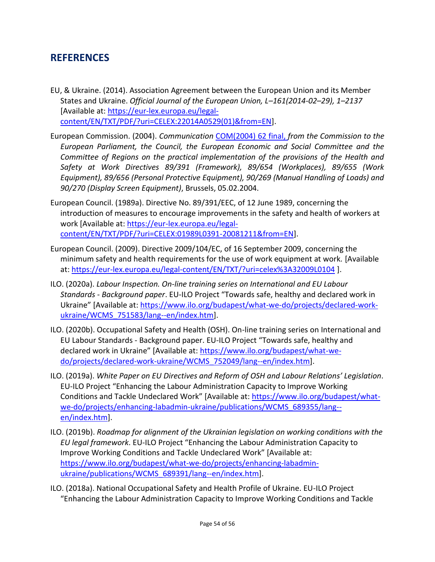### <span id="page-53-0"></span>**REFERENCES**

- EU, & Ukraine. (2014). Association Agreement between the European Union and its Member States and Ukraine. *Official Journal of the European Union, L–161(2014-02–29), 1–2137* [Available at: [https://eur-lex.europa.eu/legal](https://eur-lex.europa.eu/legal-content/EN/TXT/PDF/?uri=CELEX:22014A0529(01)&from=EN)[content/EN/TXT/PDF/?uri=CELEX:22014A0529\(01\)&from=EN\]](https://eur-lex.europa.eu/legal-content/EN/TXT/PDF/?uri=CELEX:22014A0529(01)&from=EN).
- European Commission. (2004). *Communication* [COM\(2004\) 62 final,](https://eur-lex.europa.eu/legal-content/EN/TXT/PDF/?uri=CELEX:52004DC0062&from=FR) *from the Commission to the European Parliament, the Council, the European Economic and Social Committee and the Committee of Regions on the practical implementation of the provisions of the Health and Safety at Work Directives 89/391 (Framework), 89/654 (Workplaces), 89/655 (Work Equipment), 89/656 (Personal Protective Equipment), 90/269 (Manual Handling of Loads) and 90/270 (Display Screen Equipment)*, Brussels, 05.02.2004.
- European Council. (1989a). Directive No. 89/391/EEC, of 12 June 1989, concerning the introduction of measures to encourage improvements in the safety and health of workers at work [Available at: [https://eur-lex.europa.eu/legal](https://eur-lex.europa.eu/legal-content/EN/TXT/PDF/?uri=CELEX:01989L0391-20081211&from=EN)[content/EN/TXT/PDF/?uri=CELEX:01989L0391-20081211&from=EN\]](https://eur-lex.europa.eu/legal-content/EN/TXT/PDF/?uri=CELEX:01989L0391-20081211&from=EN).
- European Council. (2009). Directive 2009/104/EC, of 16 September 2009, concerning the minimum safety and health requirements for the use of work equipment at work. [Available at:<https://eur-lex.europa.eu/legal-content/EN/TXT/?uri=celex%3A32009L0104> ].
- ILO. (2020a). *Labour Inspection. On-line training series on International and EU Labour Standards - Background paper*. EU-ILO Project "Towards safe, healthy and declared work in Ukraine" [Available at: [https://www.ilo.org/budapest/what-we-do/projects/declared-work](https://www.ilo.org/budapest/what-we-do/projects/declared-work-ukraine/WCMS_751583/lang--en/index.htm)ukraine/WCMS 751583/lang--en/index.htm].
- ILO. (2020b). Occupational Safety and Health (OSH). On-line training series on International and EU Labour Standards - Background paper. EU-ILO Project "Towards safe, healthy and declared work in Ukraine" [Available at: [https://www.ilo.org/budapest/what-we](https://www.ilo.org/budapest/what-we-do/projects/declared-work-ukraine/WCMS_752049/lang--en/index.htm)[do/projects/declared-work-ukraine/WCMS\\_752049/lang--en/index.htm\]](https://www.ilo.org/budapest/what-we-do/projects/declared-work-ukraine/WCMS_752049/lang--en/index.htm).
- ILO. (2019a). *White Paper on EU Directives and Reform of OSH and Labour Relations' Legislation*. EU-ILO Project "Enhancing the Labour Administration Capacity to Improve Working Conditions and Tackle Undeclared Work" [Available at: [https://www.ilo.org/budapest/what](https://www.ilo.org/budapest/what-we-do/projects/enhancing-labadmin-ukraine/publications/WCMS_689355/lang--en/index.htm)[we-do/projects/enhancing-labadmin-ukraine/publications/WCMS\\_689355/lang-](https://www.ilo.org/budapest/what-we-do/projects/enhancing-labadmin-ukraine/publications/WCMS_689355/lang--en/index.htm) [en/index.htm\]](https://www.ilo.org/budapest/what-we-do/projects/enhancing-labadmin-ukraine/publications/WCMS_689355/lang--en/index.htm).
- ILO. (2019b). *Roadmap for alignment of the Ukrainian legislation on working conditions with the EU legal framework*. EU-ILO Project "Enhancing the Labour Administration Capacity to Improve Working Conditions and Tackle Undeclared Work" [Available at: [https://www.ilo.org/budapest/what-we-do/projects/enhancing-labadmin](https://www.ilo.org/budapest/what-we-do/projects/enhancing-labadmin-ukraine/publications/WCMS_689391/lang--en/index.htm)[ukraine/publications/WCMS\\_689391/lang--en/index.htm\]](https://www.ilo.org/budapest/what-we-do/projects/enhancing-labadmin-ukraine/publications/WCMS_689391/lang--en/index.htm).
- ILO. (2018a). National Occupational Safety and Health Profile of Ukraine. EU-ILO Project "Enhancing the Labour Administration Capacity to Improve Working Conditions and Tackle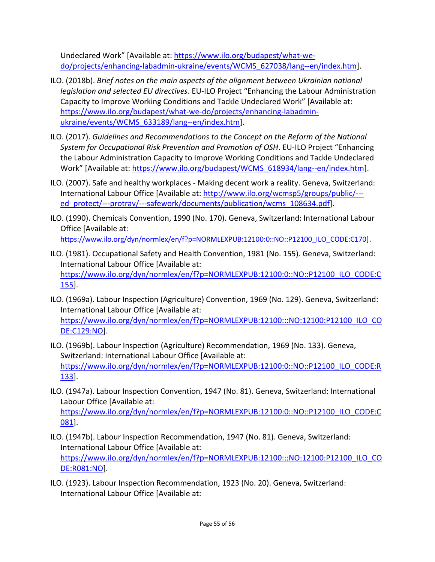Undeclared Work" [Available at: [https://www.ilo.org/budapest/what-we](https://www.ilo.org/budapest/what-we-do/projects/enhancing-labadmin-ukraine/events/WCMS_627038/lang--en/index.htm)[do/projects/enhancing-labadmin-ukraine/events/WCMS\\_627038/lang--en/index.htm\]](https://www.ilo.org/budapest/what-we-do/projects/enhancing-labadmin-ukraine/events/WCMS_627038/lang--en/index.htm).

- ILO. (2018b). *Brief notes on the main aspects of the alignment between Ukrainian national legislation and selected EU directives*. EU-ILO Project "Enhancing the Labour Administration Capacity to Improve Working Conditions and Tackle Undeclared Work" [Available at: [https://www.ilo.org/budapest/what-we-do/projects/enhancing-labadmin](https://www.ilo.org/budapest/what-we-do/projects/enhancing-labadmin-ukraine/events/WCMS_633189/lang--en/index.htm)ukraine/events/WCMS 633189/lang--en/index.htm].
- ILO. (2017). *Guidelines and Recommendations to the Concept on the Reform of the National System for Occupational Risk Prevention and Promotion of OSH*. EU-ILO Project "Enhancing the Labour Administration Capacity to Improve Working Conditions and Tackle Undeclared Work" [Available at: [https://www.ilo.org/budapest/WCMS\\_618934/lang--en/index.htm\]](https://www.ilo.org/budapest/WCMS_618934/lang--en/index.htm).
- ILO. (2007). Safe and healthy workplaces Making decent work a reality. Geneva, Switzerland: International Labour Office [Available at: [http://www.ilo.org/wcmsp5/groups/public/--](http://www.ilo.org/wcmsp5/groups/public/---ed_protect/---protrav/---safework/documents/publication/wcms_108634.pdf) [ed\\_protect/---protrav/---safework/documents/publication/wcms\\_108634.pdf\]](http://www.ilo.org/wcmsp5/groups/public/---ed_protect/---protrav/---safework/documents/publication/wcms_108634.pdf).
- ILO. (1990). Chemicals Convention, 1990 (No. 170). Geneva, Switzerland: International Labour Office [Available at: [https://www.ilo.org/dyn/normlex/en/f?p=NORMLEXPUB:12100:0::NO::P12100\\_ILO\\_CODE:C170](https://www.ilo.org/dyn/normlex/en/f?p=NORMLEXPUB:12100:0::NO::P12100_ILO_CODE:C170)].
- ILO. (1981). Occupational Safety and Health Convention, 1981 (No. 155). Geneva, Switzerland: International Labour Office [Available at: [https://www.ilo.org/dyn/normlex/en/f?p=NORMLEXPUB:12100:0::NO::P12100\\_ILO\\_CODE:C](https://www.ilo.org/dyn/normlex/en/f?p=NORMLEXPUB:12100:0::NO::P12100_ILO_CODE:C155) [155\]](https://www.ilo.org/dyn/normlex/en/f?p=NORMLEXPUB:12100:0::NO::P12100_ILO_CODE:C155).
- ILO. (1969a). Labour Inspection (Agriculture) Convention, 1969 (No. 129). Geneva, Switzerland: International Labour Office [Available at: [https://www.ilo.org/dyn/normlex/en/f?p=NORMLEXPUB:12100:::NO:12100:P12100\\_ILO\\_CO](https://www.ilo.org/dyn/normlex/en/f?p=NORMLEXPUB:12100:::NO:12100:P12100_ILO_CODE:C129:NO) [DE:C129:NO\]](https://www.ilo.org/dyn/normlex/en/f?p=NORMLEXPUB:12100:::NO:12100:P12100_ILO_CODE:C129:NO).
- ILO. (1969b). Labour Inspection (Agriculture) Recommendation, 1969 (No. 133). Geneva, Switzerland: International Labour Office [Available at: [https://www.ilo.org/dyn/normlex/en/f?p=NORMLEXPUB:12100:0::NO::P12100\\_ILO\\_CODE:R](https://www.ilo.org/dyn/normlex/en/f?p=NORMLEXPUB:12100:0::NO::P12100_ILO_CODE:R133) [133\]](https://www.ilo.org/dyn/normlex/en/f?p=NORMLEXPUB:12100:0::NO::P12100_ILO_CODE:R133).
- ILO. (1947a). Labour Inspection Convention, 1947 (No. 81). Geneva, Switzerland: International Labour Office [Available at: [https://www.ilo.org/dyn/normlex/en/f?p=NORMLEXPUB:12100:0::NO::P12100\\_ILO\\_CODE:C](https://www.ilo.org/dyn/normlex/en/f?p=NORMLEXPUB:12100:0::NO::P12100_ILO_CODE:C081) [081\]](https://www.ilo.org/dyn/normlex/en/f?p=NORMLEXPUB:12100:0::NO::P12100_ILO_CODE:C081).
- ILO. (1947b). Labour Inspection Recommendation, 1947 (No. 81). Geneva, Switzerland: International Labour Office [Available at: [https://www.ilo.org/dyn/normlex/en/f?p=NORMLEXPUB:12100:::NO:12100:P12100\\_ILO\\_CO](https://www.ilo.org/dyn/normlex/en/f?p=NORMLEXPUB:12100:::NO:12100:P12100_ILO_CODE:R081:NO) [DE:R081:NO\]](https://www.ilo.org/dyn/normlex/en/f?p=NORMLEXPUB:12100:::NO:12100:P12100_ILO_CODE:R081:NO).
- ILO. (1923). Labour Inspection Recommendation, 1923 (No. 20). Geneva, Switzerland: International Labour Office [Available at: